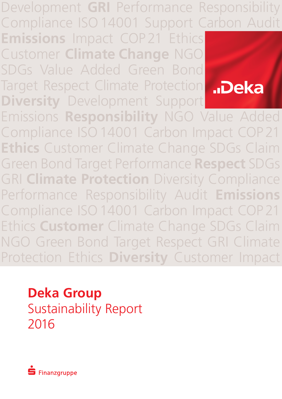Development **GRI** Performance Responsibility Compliance ISO14001 Support Carbon Audit

**Emissions** Impact COP21 Ethics Customer **Climate Change** NGO SDGs Value Added Green Bond Target Respect Climate Protection **Diversity** Development Support



Emissions **Responsibility** NGO Value Added Compliance ISO14001 Carbon Impact COP21 **Ethics** Customer Climate Change SDGs Claim Green Bond Target Performance **Respect** SDGs **GRI Climate Protection** Diversity Compliance Performance Responsibility Audit **Emissions** Compliance ISO14001 Carbon Impact COP21 Ethics **Customer** Climate Change SDGs Claim NGO Green Bond Target Respect GRI Climate Protection Ethics **Diversity** Customer Impact

**Deka Group**  Sustainability Report 2016

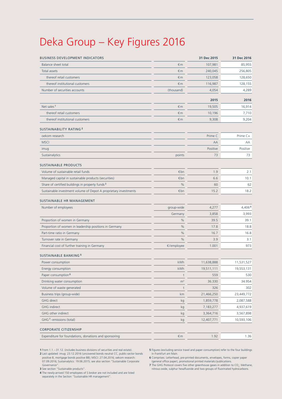# Deka Group – Key Figures 2016

| <b>BUSINESS DEVELOPMENT INDICATORS</b>                           |                | 31 Dec 2015 | 31 Dec 2016 |
|------------------------------------------------------------------|----------------|-------------|-------------|
| <b>Balance sheet total</b>                                       | $\n  Im\n$     | 107,981     | 85,955      |
| <b>Total assets</b>                                              | $\n  Im\n$     | 240,045     | 256,805     |
| thereof retail customers                                         | $\n  Im\n$     | 123,058     | 128,650     |
| thereof institutional customers                                  | €m             | 116,987     | 128,155     |
| Number of securities accounts                                    | (thousand)     | 4,054       | 4,289       |
|                                                                  |                | 2015        | 2016        |
| Net sales <sup>1</sup>                                           | $\n  Im\n$     | 19,505      | 16,914      |
| thereof retail customers                                         | $\n  Im\n$     | 10,196      | 7,710       |
| thereof institutional customers                                  | $\n  Im\n$     | 9,308       | 9,204       |
| <b>SUSTAINABILITY RATING 2</b>                                   |                |             |             |
| oekom research                                                   |                | Prime C     | Prime C+    |
| <b>MSCI</b>                                                      |                | AA          | AA          |
| imug                                                             |                | Positive    | Positive    |
| Sustainalytics                                                   | points         | 73          | 73          |
| <b>SUSTAINABLE PRODUCTS</b>                                      |                |             |             |
| Volume of sustainable retail funds                               | €bn            | 1.9         | 2.1         |
| Managed capital in sustainable products (securities)             | €bn            | 6.6         | 10.1        |
| Share of certified buildings in property funds <sup>3</sup>      | %              | 60          | 62          |
| Sustainable investment volume of Depot A proprietary investments | €bn            | 15.2        | 18.2        |
| SUSTAINABLE HR MANAGEMENT                                        |                |             |             |
| Number of employees                                              | group-wide     | 4,277       | 4,4064      |
|                                                                  | Germany        | 3,858       | 3,993       |
| Proportion of women in Germany                                   | %              | 39.5        | 39.1        |
| Proportion of women in leadership positions in Germany           | %              | 17.8        | 18.8        |
| Part-time ratio in Germany                                       | %              | 16.7        | 16.8        |
| Turnover rate in Germany                                         | %              | 3.9         | 3.1         |
| Financial cost of further training in Germany                    | €/employee     | 1.001       | 973         |
| <b>SUSTAINABLE BANKING<sup>5</sup></b>                           |                |             |             |
| Power consumption                                                | kWh            | 11,638,888  | 11,531,527  |
| Energy consumption                                               | kWh            | 19,511,111  | 19,553,131  |
| Paper consumption <sup>6</sup>                                   | t              | 559         | 530         |
| Drinking water consumption                                       | m <sup>3</sup> | 36.330      | 34.954      |
| Volume of waste generated                                        | t              | 326         | 302         |
| Business trips (group-wide)                                      | km             | 21,466,250  | 23,449,772  |
| <b>GHG</b> direct                                                | kg             | 1,859,778   | 2,087,588   |
| <b>GHG</b> indirect                                              | kg             | 7,183,277   | 4,937,619   |
| GHG other indirect                                               | kg             | 3,364,716   | 3,567,898   |
| GHG <sup>7</sup> -emissions (total)                              | kg             | 12,407,771  | 10,593,106  |
| CORPORATE CITIZENSHIP                                            |                |             |             |
| Expenditure for foundations, donations and sponsoring            | $\n  m\n$      | 1.92        | 1.36        |
|                                                                  |                |             |             |

**1** From 1.1. –31.12. (includes business divisions of securities and real estate).

**2** Last updated: imug: 23.12.2016 (uncovered bonds neutral CC, public-sector bonds positive B, mortgage bonds positive BB); MSCI: 27.04.2016; oekom research: 07.09.2016; Sustainalytics: 19.06.2015; see also section "Sustainable Corporate

Governance". **3** See section "Sustainable products".

**4** The newly-arrived 150 employees of S broker are not included and are listed separately in the Section "Sustainable HR management".

**5** Figures (excluding service travel and paper consumption) refer to the four buildings in Frankfurt am Main.

**6** Comprises: Letterhead, pre-printed documents, envelopes, forms, copier paper (general office paper), promotional printed materials/publications.

**7** The GHG Protocol covers five other greenhouse gases in addition to CO<sub>2</sub>: Methane, <br>nitrous oxide, sulphur hexafluoride and two groups of fluorinated hydrocarbons.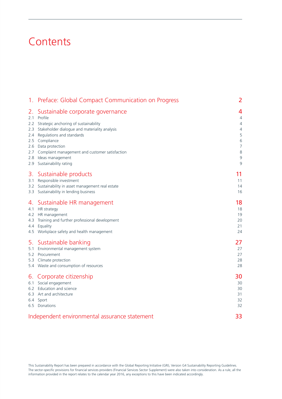# **Contents**

| 1. Preface: Global Compact Communication on Progress                                                                                                                                       | 2                                     |
|--------------------------------------------------------------------------------------------------------------------------------------------------------------------------------------------|---------------------------------------|
| Sustainable corporate governance<br>2.<br>Profile<br>2.1<br>2.2 Strategic anchoring of sustainability                                                                                      | 4<br>$\overline{4}$<br>$\overline{4}$ |
| 2.3 Stakeholder dialogue and materiality analysis                                                                                                                                          | 4                                     |
| 2.4 Regulations and standards                                                                                                                                                              | 5                                     |
| 2.5 Compliance                                                                                                                                                                             | 6                                     |
| 2.6 Data protection                                                                                                                                                                        | $\overline{7}$                        |
| 2.7 Complaint management and customer satisfaction                                                                                                                                         | 8                                     |
| 2.8 Ideas management                                                                                                                                                                       | $\overline{9}$                        |
| 2.9 Sustainability rating                                                                                                                                                                  | 9                                     |
| 3. Sustainable products                                                                                                                                                                    | 11                                    |
| 3.1 Responsible investment                                                                                                                                                                 | 11                                    |
| 3.2 Sustainability in asset management real estate                                                                                                                                         | 14                                    |
| 3.3 Sustainability in lending business                                                                                                                                                     | 16                                    |
| Sustainable HR management<br>4.<br>4.1 HR strategy<br>4.2 HR management<br>4.3 Training and further professional development<br>4.4 Equality<br>4.5 Workplace safety and health management | 18<br>18<br>19<br>20<br>21<br>24      |
| 5. Sustainable banking                                                                                                                                                                     | 27                                    |
| 5.1 Environmental management system                                                                                                                                                        | 27                                    |
| 5.2 Procurement                                                                                                                                                                            | 27                                    |
| 5.3 Climate protection                                                                                                                                                                     | 28                                    |
| 5.4 Waste and consumption of resources                                                                                                                                                     | 28                                    |
| 6. Corporate citizenship                                                                                                                                                                   | 30                                    |
| 6.1 Social engagement                                                                                                                                                                      | 30                                    |
| 6.2 Education and science                                                                                                                                                                  | 30                                    |
| 6.3 Art and architecture                                                                                                                                                                   | 31                                    |
| 6.4 Sport                                                                                                                                                                                  | 32                                    |
| 6.5 Donations                                                                                                                                                                              | 32                                    |
| Independent environmental assurance statement                                                                                                                                              | 33                                    |

This Sustainability Report has been prepared in accordance with the Global Reporting Initiative (GRI), Version G4 Sustainability Reporting Guidelines. The sector-specific provisions for financial services providers (Financial Services Sector Supplement) were also taken into consideration. As a rule, all the information provided in the report relates to the calendar year 2016, any exceptions to this have been indicated accordingly.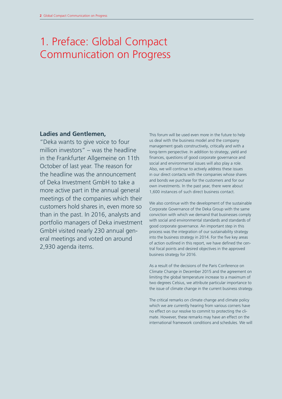# 1. Preface: Global Compact Communication on Progress

# **Ladies and Gentlemen,**

"Deka wants to give voice to four million investors" – was the headline in the Frankfurter Allgemeine on 11th October of last year. The reason for the headline was the announcement of Deka Investment GmbH to take a more active part in the annual general meetings of the companies which their customers hold shares in, even more so than in the past. In 2016, analysts and portfolio managers of Deka investment GmbH visited nearly 230 annual general meetings and voted on around 2,930 agenda items.

This forum will be used even more in the future to help us deal with the business model and the company management goals constructively, critically and with a long-term perspective. In addition to strategy, yield and finances, questions of good corporate governance and social and environmental issues will also play a role. Also, we will continue to actively address these issues in our direct contacts with the companies whose shares and bonds we purchase for the customers and for our own investments. In the past year, there were about 1,600 instances of such direct business contact.

We also continue with the development of the sustainable Corporate Governance of the Deka Group with the same conviction with which we demand that businesses comply with social and environmental standards and standards of good corporate governance. An important step in this process was the integration of our sustainability strategy into the business strategy in 2014. For the five key areas of action outlined in this report, we have defined the central focal points and desired objectives in the approved business strategy for 2016.

As a result of the decisions of the Paris Conference on Climate Change in December 2015 and the agreement on limiting the global temperature increase to a maximum of two degrees Celsius, we attribute particular importance to the issue of climate change in the current business strategy.

The critical remarks on climate change and climate policy which we are currently hearing from various corners have no effect on our resolve to commit to protecting the climate. However, these remarks may have an effect on the international framework conditions and schedules. We will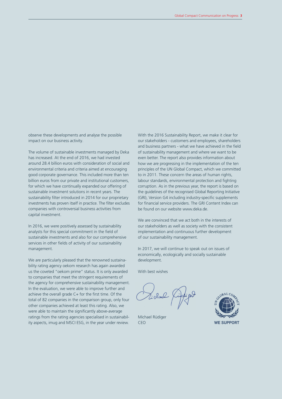observe these developments and analyse the possible impact on our business activity.

The volume of sustainable investments managed by Deka has increased. At the end of 2016, we had invested around 28.4 billion euros with consideration of social and environmental criteria and criteria aimed at encouraging good corporate governance. This included more than ten billion euros from our private and institutional customers, for which we have continually expanded our offering of sustainable investment solutions in recent years. The sustainability filter introduced in 2014 for our proprietary investments has proven itself in practice. The filter excludes companies with controversial business activities from capital investment.

In 2016, we were positively assessed by sustainability analysts for this special commitment in the field of sustainable investments and also for our comprehensive services in other fields of activity of our sustainability management.

We are particularly pleased that the renowned sustainability rating agency oekom research has again awarded us the coveted "oekom prime" status. It is only awarded to companies that meet the stringent requirements of the agency for comprehensive sustainability management. In the evaluation, we were able to improve further and achieve the overall grade  $C+$  for the first time. Of the total of 82 companies in the comparison group, only four other companies achieved at least this rating. Also, we were able to maintain the significantly above-average ratings from the rating agencies specialised in sustainability aspects, imug and MSCI ESG, in the year under review. CEO **WE SUPPORT** 

With the 2016 Sustainability Report, we make it clear for our stakeholders - customers and employees, shareholders and business partners - what we have achieved in the field of sustainability management and where we want to be even better. The report also provides information about how we are progressing in the implementation of the ten principles of the UN Global Compact, which we committed to in 2011. These concern the areas of human rights, labour standards, environmental protection and fighting corruption. As in the previous year, the report is based on the guidelines of the recognised Global Reporting Initiative (GRI), Version G4 including industry-specific supplements for financial service providers. The GRI Content Index can be found on our website www.deka.de.

We are convinced that we act both in the interests of our stakeholders as well as society with the consistent implementation and continuous further development of our sustainability management.

In 2017, we will continue to speak out on issues of economically, ecologically and socially sustainable development.

With best wishes

Michael Rüdiger CEO

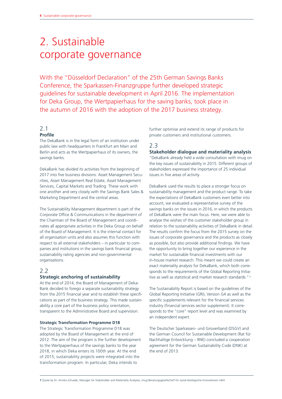# 2. Sustainable corporate governance

With the "Düsseldorf Declaration" of the 25th German Savings Banks Conference, the Sparkassen-Finanzgruppe further developed strategic guidelines for sustainable development in April 2016. The implementation for Deka Group, the Wertpapierhaus for the saving banks, took place in the autumn of 2016 with the adoption of the 2017 business strategy.

## 2.1 **Profile**

The DekaBank is in the legal form of an institution under public law with headquarters in Frankfurt am Main and Berlin and acts as the Wertpapierhaus of its owners, the savings banks.

DekaBank has divided its activities from the beginning of 2017 into five business divisions: Asset Management Securities, Asset Management Real Estate, Asset Management Services, Capital Markets and Trading. These work with one another and very closely with the Savings Bank Sales & Marketing Department and the central areas.

The Sustainability Management department is part of the Corporate Office & Communications in the department of the Chairman of the Board of Management and coordinates all appropriate activities in the Deka Group on behalf of the Board of Management. It is the internal contact for all organisation units and also assumes this function with respect to all external stakeholders – in particular to companies and institutions in the savings bank financial group, sustainability rating agencies and non-governmental organisations.

## 2.2

## **Strategic anchoring of sustainability**

At the end of 2014, the Board of Management of Deka-Bank decided to forego a separate sustainability strategy from the 2015 financial year and to establish these specifications as part of the business strategy. This made sustainability a core part of the business policy orientation, transparent to the Administrative Board and supervision.

#### **Strategic Transformation Programme D18**

The Strategic Transformation Programme D18 was adopted by the Board of Management at the end of 2012. The aim of the program is the further development to the Wertpapierhaus of the savings banks to the year 2018, in which Deka enters its 100th year. At the end of 2015, sustainability projects were integrated into the transformation program. In particular, Deka intends to

further optimise and extend its range of products for private customers and institutional customers.

## 2.3

## **Stakeholder dialogue and materiality analysis**

"DekaBank already held a wide consultation with imug on the key issues of sustainability in 2015. Different groups of stakeholders expressed the importance of 25 individual issues in five areas of activity.

DekaBank used the results to place a stronger focus on sustainability management and the product range. To take the expectations of DekaBank customers even better into account, we evaluated a representative survey of the savings banks on the issues in 2016, in which the products of DekaBank were the main focus. Here, we were able to analyse the wishes of the customer stakeholder group in relation to the sustainability activities of DekaBank in detail. The results confirm the focus from the 2015 survey on the issues of corporate governance and the products as closely as possible, but also provide additional findings. We have the opportunity to bring together our experience in the market for sustainable financial investments with our in-house market research. This meant we could create an exact materiality analysis for DekaBank, which both corresponds to the requirements of the Global Reporting Initiative as well as statistical and market research standards."<sup>1</sup>

The Sustainability Report is based on the guidelines of the Global Reporting Initiative (GRI), Version G4 as well as the specific supplements relevant for the financial services industry (financial services sector supplement). It corresponds to the "core" report level and was examined by an independent expert.

The Deutscher Sparkassen- und Giroverband (DSGV) and the German Council for Sustainable Development (Rat für Nachhaltige Entwicklung – RNE) concluded a cooperation agreement for the German Sustainability Code (DNK) at the end of 2013.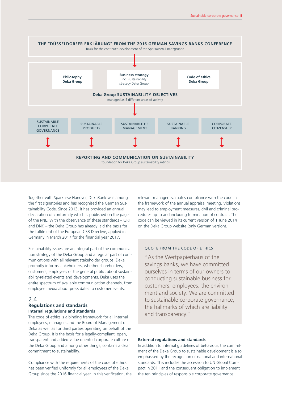

Together with Sparkasse Hanover, DekaBank was among the first signatories and has recognised the German Sustainability Code. Since 2013, it has provided an annual declaration of conformity which is published on the pages of the RNE. With the observance of these standards – GRI and DNK – the Deka Group has already laid the basis for the fulfilment of the European CSR Directive, applied in Germany in March 2017 for the financial year 2017.

Sustainability issues are an integral part of the communication strategy of the Deka Group and a regular part of communications with all relevant stakeholder groups. Deka promptly informs stakeholders, whether shareholders, customers, employees or the general public, about sustainability-related events and developments. Deka uses the entire spectrum of available communication channels, from employee media about press dates to customer events.

## 2.4

## **Regulations and standards Internal regulations and standards**

The code of ethics is a binding framework for all internal employees, managers and the Board of Management of Deka as well as for third parties operating on behalf of the Deka Group. It is the basis for a legally-compliant, open, transparent and added-value oriented corporate culture of the Deka Group and among other things, contains a clear commitment to sustainability.

Compliance with the requirements of the code of ethics has been verified uniformly for all employees of the Deka Group since the 2016 financial year. In this verification, the relevant manager evaluates compliance with the code in the framework of the annual appraisal meeting. Violations may lead to employment measures, civil and criminal procedures up to and including termination of contract. The code can be viewed in its current version of 1 June 2014 on the Deka Group website (only German version).

#### QUOTE FROM THE CODE OF ETHICS

"As the Wertpapierhaus of the savings banks, we have committed ourselves in terms of our owners to conducting sustainable business for customers, employees, the environment and society. We are committed to sustainable corporate governance, the hallmarks of which are liability and transparency."

#### **External regulations and standards**

In addition to internal guidelines of behaviour, the commitment of the Deka Group to sustainable development is also emphasised by the recognition of national and international standards. This includes the accession to UN Global Compact in 2011 and the consequent obligation to implement the ten principles of responsible corporate governance.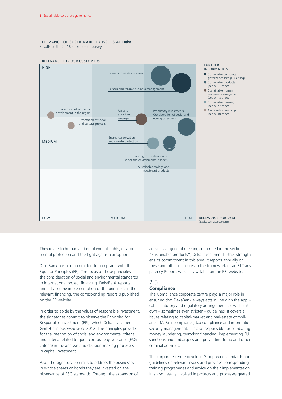#### RELEVANCE OF SUSTAINABILITY ISSUES AT **Deka** Results of the 2016 stakeholder survey



They relate to human and employment rights, environmental protection and the fight against corruption.

DekaBank has also committed to complying with the Equator Principles (EP). The focus of these principles is the consideration of social and environmental standards in international project financing. DekaBank reports annually on the implementation of the principles in the relevant financing, the corresponding report is published on the EP website.

In order to abide by the values of responsible investment, the signatories commit to observe the Principles for Responsible Investment (PRI), which Deka Investment GmbH has observed since 2012. The principles provide for the integration of social and environmental criteria and criteria related to good corporate governance (ESG criteria) in the analysis and decision-making processes in capital investment.

Also, the signatory commits to address the businesses in whose shares or bonds they are invested on the observance of ESG standards. Through the expansion of activities at general meetings described in the section "Sustainable products", Deka Investment further strengthens its commitment in this area. It reports annually on these and other measures in the framework of an RI Transparency Report, which is available on the PRI website.

## 2.5 **Compliance**

The Compliance corporate centre plays a major role in ensuring that DekaBank always acts in line with the applicable statutory and regulatory arrangements as well as its own – sometimes even stricter – guidelines. It covers all issues relating to capital-market and real-estate compliance, MaRisk compliance, tax compliance and information security management. It is also responsible for combating money laundering, terrorism financing, implementing EU sanctions and embargoes and preventing fraud and other criminal activities.

The corporate centre develops Group-wide standards and guidelines on relevant issues and provides corresponding training programmes and advice on their implementation. It is also heavily involved in projects and processes geared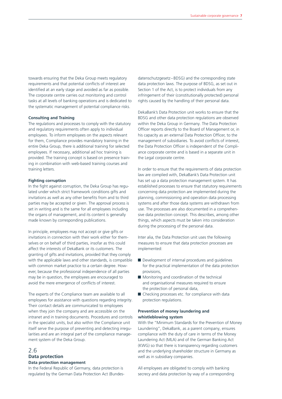towards ensuring that the Deka Group meets regulatory requirements and that potential conflicts of interest are identified at an early stage and avoided as far as possible. The corporate centre carries out monitoring and control tasks at all levels of banking operations and is dedicated to the systematic management of potential compliance risks.

### **Consulting and Training**

The regulations and processes to comply with the statutory and regulatory requirements often apply to individual employees. To inform employees on the aspects relevant for them, Compliance provides mandatory training in the entire Deka Group, there is additional training for selected employees. If necessary, additional ad hoc training is provided. The training concept is based on presence training in combination with web-based training courses and training letters.

#### **Fighting corruption**

In the fight against corruption, the Deka Group has regulated under which strict framework conditions gifts and invitations as well as any other benefits from and to third parties may be accepted or given. The approval process is set in writing and is the same for all employees including the organs of management, and its content is generally made known by corresponding publications.

In principle, employees may not accept or give gifts or invitations in connection with their work either for themselves or on behalf of third parties, insofar as this could affect the interests of DekaBank or its customers. The granting of gifts and invitations, provided that they comply with the applicable laws and other standards, is compatible with common market practice to a certain degree. However, because the professional independence of all parties may be in question, the employees are encouraged to avoid the mere emergence of conflicts of interest.

The experts of the Compliance team are available to all employees for assistance with questions regarding integrity. Their contact details are communicated to employees when they join the company and are accessible on the intranet and in training documents. Procedures and controls in the specialist units, but also within the Compliance unit itself serve the purpose of preventing and detecting irregularities and are an integral part of the compliance management system of the Deka Group.

## 2.6 **Data protection**

## **Data protection management**

In the Federal Republic of Germany, data protection is regulated by the German Data Protection Act (Bundesdatenschutzgesetz –BDSG) and the corresponding state data protection laws. The purpose of BDSG, as set out in Section 1 of the Act, is to protect individuals from any infringement of their (constitutionally protected) personal rights caused by the handling of their personal data.

DekaBank's Data Protection unit works to ensure that the BDSG and other data protection regulations are observed within the Deka Group in Germany. The Data Protection Officer reports directly to the Board of Management or, in his capacity as an external Data Protection Officer, to the management of subsidiaries. To avoid conflicts of interest, the Data Protection Officer is independent of the Compliance corporate centre and is based in a separate unit in the Legal corporate centre.

In order to ensure that the requirements of data protection law are complied with, DekaBank's Data Protection unit has set up a data protection management system. It has established processes to ensure that statutory requirements concerning data protection are implemented during the planning, commissioning and operation data processing systems and after those data systems are withdrawn from use. The processes are also documented in a comprehensive data protection concept. This describes, among other things, which aspects must be taken into consideration during the processing of the personal data.

Inter alia, the Data Protection unit uses the following measures to ensure that data protection processes are implemented:

- Development of internal procedures and quidelines for the practical implementation of the data protection provisions,
- Monitoring and coordination of the technical and organisational measures required to ensure the protection of personal data,
- Checking processes etc. for compliance with data protection regulations.

#### **Prevention of money laundering and whistleblowing system**

With the "Minimum Standards for the Prevention of Money Laundering", DekaBank, as a parent company, ensures compliance with the duty of care in terms of the Money Laundering Act (MLA) and of the German Banking Act (KWG) so that there is transparency regarding customers and the underlying shareholder structure in Germany as well as in subsidiary companies.

All employees are obligated to comply with banking secrecy and data protection by way of a corresponding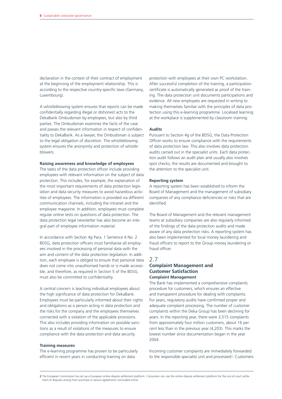declaration in the context of their contract of employment at the beginning of the employment relationship. This is according to the respective country-specific laws (Germany, Luxembourg).

A whistleblowing system ensures that reports can be made confidentially regarding illegal or dishonest acts to the DekaBank Ombudsman by employees, but also by third parties. The Ombudsman examines the facts of the case and passes the relevant information in respect of confidentiality to DekaBank. As a lawyer, the Ombudsman is subject to the legal obligation of discretion. The whistleblowing system ensures the anonymity and protection of whistleblowers.

#### **Raising awareness and knowledge of employees**

The tasks of the data protection officer include providing employees with relevant information on the subject of data protection. This includes, for example, the explanation of the most important requirements of data protection legislation and data security measures to avoid hazardous activities of employees. The information is provided via different communication channels, including the intranet and the employee magazine. In addition, employees must complete regular online tests on questions of data protection. The data protection legal newsletter has also become an integral part of employee information material.

In accordance with Section 4g Para. 1 Sentence 4 No. 2 BDSG, data protection officers must familiarise all employees involved in the processing of personal data with the aim and content of the data protection legislation. In addition, each employee is obliged to ensure that personal data does not come into unauthorised hands or is made accessible, and therefore, as required in Section 5 of the BDSG, must also be committed to confidentiality.

A central concern is teaching individual employees about the high significance of data protection for DekaBank. Employees must be particularly informed about their rights and obligations as a person acting in data protection and the risks for the company and the employees themselves connected with a violation of the applicable provisions. This also includes providing information on possible sanctions as a result of violations of the measures to ensure compliance with the data protection and data security.

#### **Training measures**

The e-learning programme has proven to be particularly efficient in recent years in conducting training on data

protection with employees at their own PC workstation. After successful completion of the training, a participation certificate is automatically generated as proof of the training. The data protection unit documents participations and evidence. All new employees are requested in writing to making themselves familiar with the principles of data protection using this e-learning programme. Localised learning at the workplace is supplemented by classroom training.

#### **Audits**

Pursuant to Section 4g of the BDSG, the Data Protection Officer works to ensure compliance with the requirements of data protection law. This also involves data protection audits carried out in the specialist units. Each data protection audit follows an audit plan and usually also involves spot checks; the results are documented and brought to the attention to the specialist unit.

#### **Reporting system**

A reporting system has been established to inform the Board of Management and the management of subsidiary companies of any compliance deficiencies or risks that are identified.

The Board of Management and the relevant management teams at subsidiary companies are also regularly informed of the findings of the data protection audits and made aware of any data protection risks. A reporting system has also been implemented for local money laundering and fraud officers to report to the Group money laundering or fraud officer.

## 2.7 **Complaint Management and Customer Satisfaction Complaint Management**

The Bank has implemented a comprehensive complaints procedure for customers, which ensures an effective and transparent procedure for dealing with complaints. For years, regulatory audits have confirmed proper and adequate complaint processing. The number of customer complaints within the Deka Group has been declining for years. In the reporting year, there were 3,515 complaints from approximately four million customers, about 16 per cent less than in the previous year (4,203). This marks the lowest number since documentation began in the year 2004.

Incoming customer complaints are immediately forwarded to the responsible specialist unit and processed<sup>2</sup>. Customers

**2** The European Commission has set up a European online dispute settlement platform. Consumers can use the online dispute settlement platform for the out-of-court settlement of disputes arising from purchase or service agreements concluded online.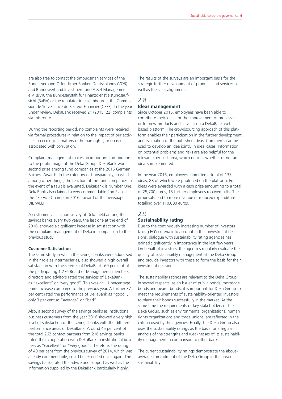are also free to contact the ombudsman services of the Bundesverband Öffentlicher Banken Deutschlands (VÖB) and Bundesverband Investment und Asset Management e.V. (BVI), the Bundesanstalt für Finanzdienstleistungsaufsicht (BaFin) or the regulator in Luxembourg – the Commission de Surveillance du Secteur Financier (CSSF). In the year under review, DekaBank received 21 (2015: 22) complaints via this route.

During the reporting period, no complaints were received via formal procedures in relation to the impact of our activities on ecological matters or human rights, or on issues associated with corruption.

Complaint management makes an important contribution to the public image of the Deka Group. DekaBank won second prize among fund companies at the 2016 German Fairness Awards. In the category of transparency, in which, among other things, the reaction of the fund companies in the event of a fault is evaluated, DekaBank is Number One. DekaBank also claimed a very commendable 2nd Place in the "Service Champion 2016" award of the newspaper DIE WELT.

A customer satisfaction survey of Deka held among the savings banks every two years, the last one at the end of 2016, showed a significant increase in satisfaction with the complaint management of Deka in comparison to the previous study.

#### **Customer Satisfaction**

The same study in which the savings banks were addressed in their role as intermediaries, also showed a high overall satisfaction with the services of DekaBank. 60 per cent of the participating 1,276 Board of Managements members, directors and advisors rated the services of DekaBank as "excellent" or "very good". This was an 11 percentage point increase compared to the previous year. A further 37 per cent rated the performance of DekaBank as "good", only 3 per cent as "average" or "bad".

Also, a second survey of the savings banks as institutional business customers from the year 2016 showed a very high level of satisfaction of the savings banks with the different performance areas of DekaBank. Around 45 per cent of the total 262 contact partners from 216 savings banks rated their cooperation with DekaBank in institutional business as "excellent" or "very good". Therefore, the rating of 40 per cent from the previous survey of 2014, which was already commendable, could be exceeded once again. The savings banks rated the advice and support as well as the information supplied by the DekaBank particularly highly.

The results of the surveys are an important basis for the strategic further development of products and services as well as the sales alignment.

# 2.8

## **Ideas management**

Since October 2015, employees have been able to contribute their ideas for the improvement of processes or for new products and services on a DekaBank webbased platform. The crowdsourcing approach of this platform enables their participation in the further development and evaluation of the published ideas. Comments can be used to develop an idea jointly in ideal cases. Information on potential problems and risks are also helpful for the relevant specialist area, which decides whether or not an idea is implemented.

In the year 2016, employees submitted a total of 137 ideas, 88 of which were published on the platform. Four ideas were awarded with a cash prize amounting to a total of 25,700 euros, 15 further employees received gifts. The proposals lead to more revenue or reduced expenditure totalling over 110,000 euros.

#### 2.9

## **Sustainability rating**

Due to the continuously increasing number of investors taking EGS criteria into account in their investment decisions, dialogue with sustainability rating agencies has gained significantly in importance in the last few years. On behalf of investors, the agencies regularly evaluate the quality of sustainability management at the Deka Group and provide investors with these to form the basis for their investment decision.

The sustainability ratings are relevant to the Deka Group in several respects: as an issuer of public bonds, mortgage bonds and bearer bonds, it is important for Deka Group to meet the requirements of sustainability-oriented investors to place their bonds successfully in the market. At the same time the requirements of key stakeholders of the Deka Group, such as environmental organizations, human rights organizations and trade unions, are reflected in the criteria used by the agencies. Finally, the Deka Group also uses the sustainability ratings as the basis for a regular analysis of the strengths and weaknesses of its sustainability management in comparison to other banks.

The current sustainability ratings demonstrate the aboveaverage commitment of the Deka Group in the area of sustainability: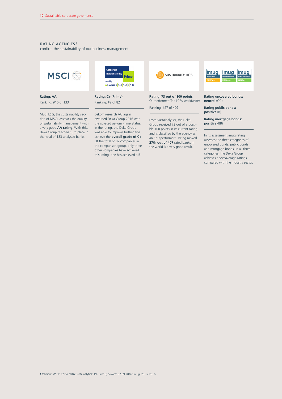## RATING AGENCIES 1

confirm the sustainability of our business management



**Rating: AA** Ranking: #10 of 133

MSCI ESG, the sustainability section of MSCI, assesses the quality of sustainability management with a very good **AA rating**. With this, Deka Group reached 10th place in the total of 133 analysed banks.



**Rating: C+ (Prime)** Ranking: #2 of 82

oekom research AG again awarded Deka Group 2016 with the coveted oekom Prime Status. In the rating, the Deka Group was able to improve further and achieve the **overall grade of C+**. Of the total of 82 companies in the comparison group, only three other companies have achieved this rating, one has achieved a B-.



#### **Rating: 73 out of 100 points** Outperformer (Top 10% worldwide)

Ranking: #27 of 407

From Sustainalytics, the Deka Group received 73 out of a possible 100 points in its current rating and is classified by the agency as an "outperformer". Being ranked **27th out of 407** rated banks in the world is a very good result.



#### **Rating uncovered bonds: neutral** (CC)

**Rating public bonds: positive** (B)

**Rating mortgage bonds: positive** (BB)

In its assessment imug rating assesses the three categories of uncovered bonds, public bonds and mortgage bonds. In all three categories, the Deka Group achieves aboveaverage ratings compared with the industry sector.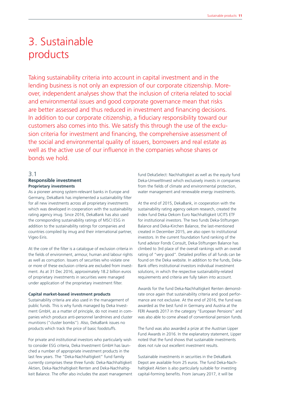# 3. Sustainable products

Taking sustainability criteria into account in capital investment and in the lending business is not only an expression of our corporate citizenship. Moreover, independent analyses show that the inclusion of criteria related to social and environmental issues and good corporate governance mean that risks are better assessed and thus reduced in investment and financing decisions. In addition to our corporate citizenship, a fiduciary responsibility toward our customers also comes into this. We satisfy this through the use of the exclusion criteria for investment and financing, the comprehensive assessment of the social and environmental quality of issuers, borrowers and real estate as well as the active use of our influence in the companies whose shares or bonds we hold.

## 3.1

### **Responsible investment Proprietary investments**

As a pioneer among system-relevant banks in Europe and Germany, DekaBank has implemented a sustainability filter for all new investments across all proprietary investments which was developed in cooperation with the sustainability rating agency imug. Since 2016, DekaBank has also used the corresponding sustainability ratings of MSCI ESG in addition to the sustainability ratings for companies and countries compiled by imug and their international partner, Vigeo Eiris.

At the core of the filter is a catalogue of exclusion criteria in the fields of environment, armour, human and labour rights as well as corruption. Issuers of securities who violate one or more of these exclusion criteria are excluded from investment. As at 31 Dec 2016, approximately 18.2 billion euros of proprietary investments in securities were managed under application of the proprietary investment filter.

#### **Capital market-based investment products**

Sustainability criteria are also used in the management of public funds. This is why funds managed by Deka Investment GmbH, as a matter of principle, do not invest in companies which produce anti-personnel landmines and cluster munitions ("cluster bombs"). Also, DekaBank issues no products which track the price of basic foodstuffs.

For private and institutional investors who particularly wish to consider ESG criteria, Deka Investment GmbH has launched a number of appropriate investment products in the last few years. The "Deka-Nachhaltigkeit" fund family currently comprises these three funds: Deka-Nachhaltigkeit Aktien, Deka-Nachhaltigkeit Renten and Deka-Nachhaltigkeit Balance. The offer also includes the asset management fund DekaSelect: Nachhaltigkeit as well as the equity fund Deka-UmweltInvest which exclusively invests in companies from the fields of climate and environmental protection, water management and renewable energy investments.

At the end of 2015, DekaBank, in cooperation with the sustainability rating agency oekom research, created the index fund Deka Oekom Euro Nachhaltigkeit UCITS ETF for institutional investors. The two funds Deka-Stiftungen Balance and Deka-Kirchen Balance, the last-mentioned created in December 2015, are also open to institutional investors. In the current foundation fund ranking of the fund advisor Fonds Consult, Deka-Stiftungen Balance has climbed to 3rd place of the overall rankings with an overall rating of "very good". Detailed profiles of all funds can be found on the Deka website. In addition to the funds, Deka-Bank offers institutional investors individual investment solutions, in which the respective sustainability-related requirements and criteria are fully taken into account.

Awards for the fund Deka-Nachhaltigkeit Renten demonstrate once again that sustainability criteria and good performance are not exclusive. At the end of 2016, the fund was awarded as the best fund in Germany and Austria at the FERI Awards 2017 in the category "European Pensions" and was also able to come ahead of conventional pension funds.

The fund was also awarded a prize at the Austrian Lipper Fund Awards in 2016. In the explanatory statement, Lipper noted that the fund shows that sustainable investments does not rule out excellent investment results.

Sustainable investments in securities in the DekaBank Depot are available from 25 euros. The fund Deka-Nachhaltigkeit Aktien is also particularly suitable for investing capital-forming benefits. From January 2017, it will be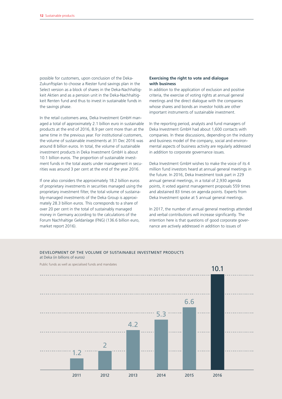possible for customers, upon conclusion of the Deka-Zukunftsplan to choose a Riester fund savings plan in the Select version as a block of shares in the Deka-Nachhaltigkeit Aktien and as a pension unit in the Deka-Nachhaltigkeit Renten fund and thus to invest in sustainable funds in the savings phase.

In the retail customers area, Deka Investment GmbH managed a total of approximately 2.1 billion euro in sustainable products at the end of 2016, 8.9 per cent more than at the same time in the previous year. For institutional customers, the volume of sustainable investments at 31 Dec 2016 was around 8 billion euros. In total, the volume of sustainable investment products in Deka Investment GmbH is about 10.1 billion euros. The proportion of sustainable investment funds in the total assets under management in securities was around 3 per cent at the end of the year 2016.

If one also considers the approximately 18.2 billion euros of proprietary investments in securities managed using the proprietary investment filter, the total volume of sustainably-managed investments of the Deka Group is approximately 28.3 billion euros. This corresponds to a share of over 20 per cent in the total of sustainably managed money in Germany according to the calculations of the Forum Nachhaltige Geldanlage (FNG) (136.6 billion euro, market report 2016).

### **Exercising the right to vote and dialogue with business**

In addition to the application of exclusion and positive criteria, the exercise of voting rights at annual general meetings and the direct dialogue with the companies whose shares and bonds an investor holds are other important instruments of sustainable investment.

In the reporting period, analysts and fund managers of Deka Investment GmbH had about 1,600 contacts with companies. In these discussions, depending on the industry and business model of the company, social and environmental aspects of business activity are regularly addressed in addition to corporate governance issues.

Deka Investment GmbH wishes to make the voice of its 4 million fund investors heard at annual general meetings in the future. In 2016, Deka Investment took part in 229 annual general meetings, in a total of 2,930 agenda points, it voted against management proposals 559 times and abstained 83 times on agenda points. Experts from Deka Investment spoke at 5 annual general meetings.

In 2017, the number of annual general meetings attended and verbal contributions will increase significantly. The intention here is that questions of good corporate governance are actively addressed in addition to issues of

#### DEVELOPMENT OF THE VOLUME OF SUSTAINABLE INVESTMENT PRODUCTS at Deka (in billions of euros)

Public funds as well as specialised funds and mandates

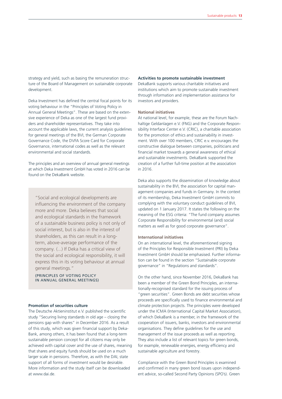strategy and yield, such as basing the remuneration structure of the Board of Management on sustainable corporate development.

Deka Investment has defined the central focal points for its voting behaviour in the "Principles of Voting Policy in Annual General Meetings". These are based on the extensive experience of Deka as one of the largest fund providers and shareholder representatives. They take into account the applicable laws, the current analysis guidelines for general meetings of the BVI, the German Corporate Governance Code, the DVFA Score Card for Corporate Governance, international codes as well as the relevant environmental and social standards.

The principles and an overview of annual general meetings at which Deka Investment GmbH has voted in 2016 can be found on the DekaBank website.

"Social and ecological developments are influencing the environment of the company more and more. Deka believes that social and ecological standards in the framework of a sustainable business policy is not only of social interest, but is also in the interest of shareholders, as this can result in a longterm, above-average performance of the company. (...) If Deka has a critical view of the social and ecological responsibility, it will express this in its voting behaviour at annual general meetings."

(PRINCIPLES OF VOTING POLICY IN ANNUAL GENERAL MEETINGS)

#### **Promotion of securities culture**

The Deutsche Aktieninstitut e.V. published the scientific study "Securing living standards in old age – closing the pensions gap with shares" in December 2016. As a result of this study, which was given financial support by Deka-Bank, among others, it has been found that a long-term sustainable pension concept for all citizens may only be achieved with capital cover and the use of shares, meaning that shares and equity funds should be used on a much larger scale in pensions. Therefore, as with the DAI, state support of all forms of investment would be desirable. More information and the study itself can be downloaded at www.dai.de.

#### **Activities to promote sustainable investment**

DekaBank supports various charitable initiatives and institutions which aim to promote sustainable investment through information and implementation assistance for investors and providers.

## **National initiatives**

At national level, for example, these are the Forum Nachhaltige Geldanlagen e.V. (FNG) and the Corporate Responsibility Interface Center e.V. (CRIC), a charitable association for the promotion of ethics and sustainability in investment. With over 100 members, CRIC e.v. encourages the constructive dialogue between companies, politicians and financial market towards a general awareness of ethical and sustainable investments. DekaBank supported the creation of a further full-time position at the association in 2016.

Deka also supports the dissemination of knowledge about sustainability in the BVI, the association for capital management companies and funds in Germany. In the context of its membership, Deka Investment GmbH commits to complying with the voluntary conduct guidelines of BVI, updated on 1 January 2017. It states the following on the meaning of the ESG criteria: "The fund company assumes Corporate Responsibility for environmental (and) social matters as well as for good corporate governance".

#### **International initiatives**

On an international level, the aforementioned signing of the Principles for Responsible Investment (PRI) by Deka Investment GmbH should be emphasised. Further information can be found in the section "Sustainable corporate governance" in "Regulations and standards".

On the other hand, since November 2016, DekaBank has been a member of the Green Bond Principles, an internationally-recognised standard for the issuing process of "green securities". Green Bonds are debt securities whose proceeds are specifically used to finance environmental and climate protection projects. The principles were developed under the ICMA (International Capital Market Association), of which DekaBank is a member, in the framework of the cooperation of issuers, banks, investors and environmental organisations. They define guidelines for the use and management of the issue proceeds as well as reporting. They also include a list of relevant topics for green bonds, for example, renewable energies, energy efficiency and sustainable agriculture and forestry.

Compliance with the Green Bond Principles is examined and confirmed in many green bond issues upon independent advice, so-called Second Party Opinions (SPO's). Green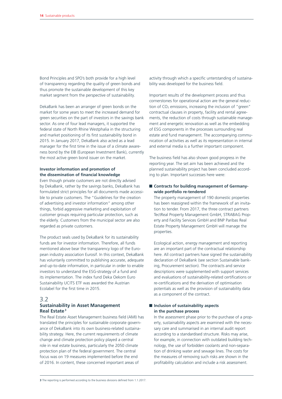Bond Principles and SPO's both provide for a high level of transparency regarding the quality of green bonds and thus promote the sustainable development of this key market segment from the perspective of sustainability.

DekaBank has been an arranger of green bonds on the market for some years to meet the increased demand for green securities on the part of investors in the savings bank sector. As one of four lead managers, it supported the federal state of North Rhine Westphalia in the structuring and market positioning of its first sustainability bond in 2015. In January 2017, DekaBank also acted as a lead manager for the first time in the issue of a climate awareness bond by the EIB (European Investment Bank), currently the most active green bond issuer on the market.

## **Investor information and promotion of the dissemination of financial knowledge**

Even though private customers are not directly advised by DekaBank, rather by the savings banks, DekaBank has formulated strict principles for all documents made accessible to private customers. The "Guidelines for the creation of advertising and investor information" among other things, forbid aggressive marketing and exploitation of customer groups requiring particular protection, such as the elderly. Customers from the municipal sector are also regarded as private customers.

The product seals used by DekaBank for its sustainability funds are for investor information. Therefore, all funds mentioned above bear the transparency logo of the European industry association Eurosif. In this context, DekaBank has voluntarily committed to publishing accurate, adequate and up-to-date information, in particular in order to enable investors to understand the ESG-strategy of a fund and its implementation. The index fund Deka Oekom Euro Sustainability UCITS ETF was awarded the Austrian Ecolabel for the first time in 2015.

### 3.2

## **Sustainability in Asset Management Real Estate3**

The Real Estate Asset Management business field (AMI) has translated the principles for sustainable corporate governance of DekaBank into its own business-related sustainability strategy. Here, the current requirements of climate change and climate protection policy played a central role in real estate business, particularly the 2050 climate protection plan of the federal government. The central focus was on 19 measures implemented before the end of 2016. In content, these concerned important areas of

activity through which a specific unterstanding of sustainability was developed for the business field.

Important results of the development process and thus cornerstones for operational action are the general reduction of  $CO<sub>2</sub>$  emissions, increasing the inclusion of "green" contractual clauses in property, facility and rental agreements, the reduction of costs through sustainable management and energetic renovation as well as the embedding of ESG components in the processes surrounding real estate and fund management. The accompanying communication of activities as well as its representation in internal and external media is a further important component.

The business field has also shown good progress in the reporting year. The set aim has been achieved and the planned sustainability project has been concluded according to plan. Important successes here were:

## ■ Contracts for building management of Germany**wide portfolio re-tendered**

The property management of 190 domestic properties has been reassigned within the framework of an invitation to tender. From 2017, the three contract partners TectReal Property Management GmbH, STRABAG Property and Facility Services GmbH and BNP Paribas Real Estate Property Management GmbH will manage the properties.

Ecological action, energy management and reporting are an important part of the contractual relationship here. All contract partners have signed the sustainability declaration of DekaBank (see section Sustainable banking, Procurement section). The contracts and service descriptions were supplemented with support services and evaluations of sustainability-related certifications or re-certifications and the derivation of optimisation potentials as well as the provision of sustainability data as a component of the contract.

## **Inclusion of sustainability aspects in the purchase process**

In the assessment phase prior to the purchase of a property, sustainability aspects are examined with the necessary care and summarised in an internal audit report according to a standardised structure. Risks may arise, for example, in connection with outdated building technology, the use of forbidden coolants and non-separation of drinking water and sewage lines. The costs for the measures of removing such risks are shown in the profitability calculation and include a risk assessment.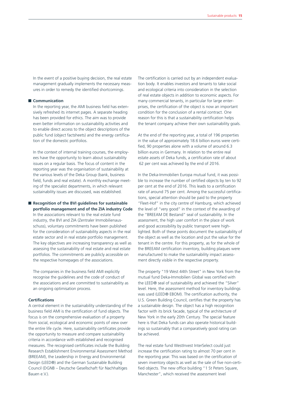In the event of a positive buying decision, the real estate management gradually implements the necessary measures in order to remedy the identified shortcomings.

## **Communication**

In the reporting year, the AMI business field has extensively refreshed its internet pages. A separate heading has been provided for ethics. The aim was to provide even better information on sustainability activities and to enable direct access to the object descriptions of the public fund (object factsheets) and the energy certification of the domestic portfolios.

In the context of internal training courses, the employees have the opportunity to learn about sustainability issues on a regular basis. The focus of content in the reporting year was the organisation of sustainability at the various levels of the Deka Group (bank, business field, funds and real estate). A monthly exchange meeting of the specialist departments, in which relevant sustainability issues are discussed, was established.

#### ■ Recognition of the BVI guidelines for sustainable **portfolio management and of the ZIA industry Code**

In the associations relevant to the real estate fund industry, the BVI and ZIA (Zentraler Immobilienausschuss), voluntary commitments have been published for the consideration of sustainability aspects in the real estate sector and in real estate portfolio management. The key objectives are increasing transparency as well as assessing the sustainability of real estate and real estate portfolios. The commitments are publicly accessible on the respective homepages of the associations.

The companies in the business field AMI explicitly recognise the guidelines and the code of conduct of the associations and are committed to sustainability as an ongoing optimisation process.

## **Certifications**

A central element in the sustainability understanding of the business field AMI is the certification of fund objects. The focus is on the comprehensive evaluation of a property from social, ecological and economic points of view over the entire life cycle. Here, sustainability certificates provide the opportunity to measure and compare sustainability criteria in accordance with established and recognised measures. The recognised certificates include the Building Research Establishment Environmental Assessment Method (BREEAM), the Leadership in Energy and Environmental Design (LEED®) and the German Sustainable Building Council (DGNB – Deutsche Gesellschaft für Nachhaltiges Bauen e.V.).

The certification is carried out by an independent evaluation body. It enables investors and tenants to take social and ecological criteria into consideration in the selection of real estate objects in addition to economic aspects. For many commercial tenants, in particular for large enterprises, the certification of the object is now an important condition for the conclusion of a rental contract. One reason for this is that a sustainability certification helps the tenant company achieve their own sustainability goals.

At the end of the reporting year, a total of 196 properties in the value of approximately 18.6 billion euros were certified, 90 properties alone with a volume of around 6.3 billion euros in Germany. In relation to the entire real estate assets of Deka funds, a certification rate of about 62 per cent was achieved by the end of 2016.

In the Deka-Immobilien Europa mutual fund, it was possible to increase the number of certified objects by ten to 92 per cent at the end of 2016. This leads to a certification rate of around 75 per cent. Among the successful certifications, special attention should be paid to the property "Fleet-Hof" in the city centre of Hamburg, which achieved the level of "very good" in the context of the awarding of the "BREEAM DE Bestand" seal of sustainability. In the assessment, the high user comfort in the place of work and good accessibility by public transport were highlighted. Both of these points document the sustainability of the object as well as the location and put the value for the tenant in the centre. For this property, as for the whole of the BREEAM certification inventory, building plaques were manufactured to make the sustainability impact assessment directly visible in the respective property.

The property "19 West 44th Street" in New York from the mutual fund Deka-Immobilien Global was certified with the LEED® seal of sustainability and achieved the "Silver" level. Here, the assessment method for inventory buildings was used (LEED® EBOM). The certification authority, the U.S. Green Building Council, certifies that the property has a sustainable design. The object has a high recognition factor with its brick facade, typical of the architecture of New York in the early 20th Century. The special feature here is that Deka funds can also operate historical buildings so sustainably that a comparatively good rating can be achieved.

The real estate fund WestInvest InterSelect could just increase the certification rating to almost 70 per cent in the reporting year. This was based on the certification of seven inventory objects as well as the sale of five non-certified objects. The new office building "1 St Peters Square, Manchester", which received the assessment level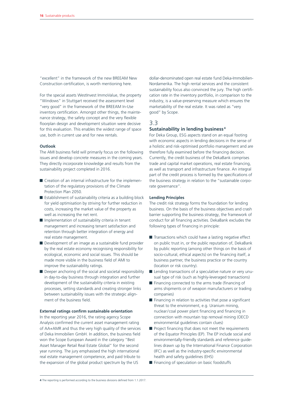"excellent" in the framework of the new BREEAM New Construction certification, is worth mentioning here.

For the special assets WestInvest ImmoValue, the property "Windows" in Stuttgart received the assessment level "very good" in the framework of the BREEAM In-Use inventory certification. Amongst other things, the maintenance strategy, the safety concept and the very flexible floorplan design and development situation were decisive for this evaluation. This enables the widest range of space use, both in current use and for new rentals.

#### **Outlook**

The AMI business field will primarily focus on the following issues and develop concrete measures in the coming years. They directly incorporate knowledge and results from the sustainability project completed in 2016.

- Creation of an internal infrastructure for the implementation of the regulatory provisions of the Climate Protection Plan 2050.
- Establishment of sustainability criteria as a building block for yield optimisation by striving for further reduction in costs, increasing the market value of the property as well as increasing the net rent.
- $\blacksquare$  Implementation of sustainability criteria in tenant management and increasing tenant satisfaction and retention through better integration of energy and real estate management.
- Development of an image as a sustainable fund provider by the real estate economy recognising responsibility for ecological, economic and social issues. This should be made more visible in the business field of AMI to improve the sustainability ratings.
- Deeper anchoring of the social and societal responsibility in day-to-day business through integration and further development of the sustainability criteria in existing processes, setting standards and creating stronger links between sustainability issues with the strategic alignment of the business field.

### **External ratings confirm sustainable orientation**

In the reporting year 2016, the rating agency Scope Analysis confirmed the current asset management rating of AA+AMR and thus the very high quality of the services of Deka Immobilien GmbH. In addition, the business field won the Scope European Award in the category "Best Asset Manager Retail Real Estate Global" for the second year running. The jury emphasised the high international real estate management competence, and paid tribute to the expansion of the global product spectrum by the US

dollar-denominated open real estate fund Deka-Immobilien-Nordamerika. The high rental services and the consistent sustainability focus also convinced the jury. The high certification rate in the inventory portfolio, in comparison to the industry, is a value-preserving measure which ensures the marketability of the real estate. It was rated as "very good" by Scope.

## 3.3

## **Sustainability in lending business <sup>4</sup>**

For Deka Group, ESG aspects stand on an equal footing with economic aspects in lending decisions in the sense of a holistic and risk-optimised portfolio management and are therefore fully examined before the financing decision. Currently, the credit business of the DekaBank comprises trade and capital market operations, real estate financing, as well as transport and infrastructure finance. An integral part of the credit process is formed by the specifications of the business strategy in relation to the "sustainable corporate governance".

#### **Lending Principles**

The credit risk strategy forms the foundation for lending business. On the basis of the business objectives and crash barrier supporting the business strategy, the framework of conduct for all financing activities. DekaBank excludes the following types of financing in principle:

- $\blacksquare$  Transactions which could have a lasting negative effect on public trust in, or the public reputation of, DekaBank by public reporting (among other things on the basis of socio-cultural, ethical aspects) on the financing itself, a business partner, the business practice or the country (location or risk country).
- Lending transactions of a speculative nature or very unusual type of risk (such as highly-leveraged transactions)
- $\blacksquare$  Financing connected to the arms trade (financing of arms shipments or of weapon manufacturers or trading companies)
- $\blacksquare$  Financing in relation to activities that pose a significant threat to the environment, e.g. Uranium mining, nuclear/ coal power plant financing and financing in connection with mountain top removal mining (OECD environmental guidelines contain clues)
- $\blacksquare$  Project financing that does not meet the requirements of the Equator Principles (EP). The EP include social and environmentally-friendly standards and reference guidelines drawn up by the International Finance Corporation (IFC) as well as the industry-specific environmental health and safety guidelines (EHS)
- Financing of speculation on basic foodstuffs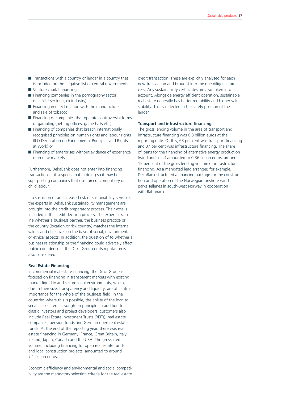- $\blacksquare$  Transactions with a country or lender in a country that is included on the negative list of central governments
- Venture capital financing
- $\blacksquare$  Financing companies in the pornography sector or similar sectors (sex industry)
- $\blacksquare$  Financing in direct relation with the manufacture and sale of tobacco
- $\blacksquare$  Financing of companies that operate controversial forms of gambling (betting offices, game halls etc.)
- $\blacksquare$  Financing of companies that breach internationally recognised principles on human rights and labour rights (ILO Declaration on Fundamental Principles and Rights at Work) or
- $\blacksquare$  Financing of enterprises without evidence of experience or in new markets

Furthermore, DekaBank does not enter into financing transactions if it suspects that in doing so it may be sup- porting companies that use forced, compulsory or child labour.

If a suspicion of an increased risk of sustainability is visible, the experts in DekaBank sustainability management are brought into the credit preparatory process. Their vote is included in the credit decision process. The experts examine whether a business partner, the business practice or the country (location or risk country) matches the internal values and objectives on the basis of social, environmental or ethical aspects. In addition, the question of to whether a business relationship or the financing could adversely affect public confidence in the Deka Group or its reputation is also considered.

#### **Real Estate Financing**

In commercial real estate financing, the Deka Group is focused on financing in transparent markets with existing market liquidity and secure legal environments, which, due to their size, transparency and liquidity, are of central importance for the whole of the business field. In the countries where this is possible, the ability of the loan to serve as collateral is sought in principle. In addition to classic investors and project developers, customers also include Real Estate Investment Trusts (REITs), real estate companies, pension funds and German open real estate funds. At the end of the reporting year, there was real estate financing in Germany, France, Great Britain, Italy, Ireland, Japan, Canada and the USA. The gross credit volume, including financing for open real estate funds and local construction projects, amounted to around 7.1 billion euros.

Economic efficiency and environmental and social compatibility are the mandatory selection criteria for the real estate

credit transaction. These are explicitly analysed for each new transaction and brought into the due diligence process. Any sustainability certificates are also taken into account. Alongside energy efficient operation, sustainable real estate generally has better rentability and higher value stability. This is reflected in the safety position of the lender.

#### **Transport and infrastructure financing**

The gross lending volume in the area of transport and infrastructure financing was 6.8 billion euros at the reporting date. Of this, 63 per cent was transport financing and 37 per cent was infrastructure financing. The share of loans for the financing of alternative energy production (wind and solar) amounted to 0.36 billion euros, around 15 per cent of the gross lending volume of infrastructure financing. As a mandated lead arranger, for example, DekaBank structured a financing package for the construction and operation of the Norwegian onshore wind parks Tellenes in south-west Norway in cooperation with Rabobank.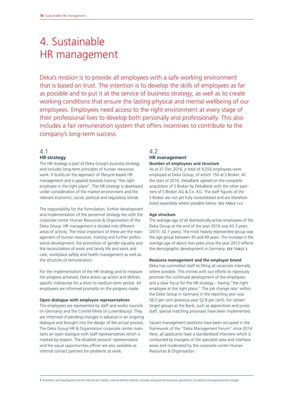# 4. Sustainable HR management

Deka's mission is to provide all employees with a safe working environment that is based on trust. The intention is to develop the skills of employees as far as possible and to put it at the service of business strategy, as well as to create working conditions that ensure the lasting physical and mental wellbeing of our employees. Employees need access to the right environment at every stage of their professional lives to develop both personally and professionally. This also includes a fair remuneration system that offers incentives to contribute to the company's long-term success.

## 4.1 **HR strategy**

The HR strategy is part of Deka Group's business strategy and includes long-term principles of human resources work. It builds on the approach of lifecycle-based HR management and is geared towards having "the right employee in the right place". The HR strategy is developed under consideration of the market environment and the relevant economic, social, political and regulatory trends.

The responsibility for the formulation, further development and implementation of the personnel strategy lies with the corporate center Human Resources & Organisation of the Deka Group. HR management is divided into different areas of activity. The most important of these are the management of human resources, training and further professional development, the promotion of gender equality and the reconciliation of work and family life and work and care, workplace safety and health management as well as the structure of remuneration.

For the implementation of the HR strategy and to measure the progress achieved, Deka draws up action and defines specific milestones for a short to medium-term period. All employees are informed promptly on the progress made.

### **Open dialogue with employee representatives**

The employees are represented by staff and works councils (in Germany) and the Comité Mixte (in Luxembourg). They are informed of pending changes in advance in an ongoing dialogue and brought into the design of the actual process. The Deka Group HR & Organisation corporate centre maintains an open dialogue with staff representatives which is marked by respect. The disabled persons' representative and the equal opportunities officer are also available as internal contact partners for problems at work.

# 4.2 **HR management**

**Number of employees and structure**

As at 31 Dec 2016, a total of 4,556 employees were employed at Deka Group, of which 150 at S Broker. At the start of 2016, DekaBank agreed on the complete acquisition of S Broker by DekaBank with the other partners of S Broker AG & Co. KG. The staff figures of the S Broker are not yet fully consolidated and are therefore listed separately where possible below. SEE TABLE 1+2

## **Age structure**

The average age of all domestically-active employees of the Deka Group at the end of the year 2016 was 43.3 years (2015: 42.7 years). The most heavily-represented group was the age group between 45 and 49 years. The increase in the average age of about two years since the year 2012 reflects the demographic development in Germany. SEE TABLE 3

#### **Resource management and the employer brand**

Deka has committed itself to filling all vacancies internally where possible. This chimes with our efforts to rigorously promote the continued development of the employees and a clear focus for the HR strategy – having "the right employee at the right place." The job change rate<sup>1</sup> within the Deka Group in Germany in the reporting year was 56.5 per cent (previous year 52.8 per cent). For certain target groups at the Bank, such as apprentices and junior staff, special matching processes have been implemented.

Vacant management positions have been occupied in the framework of the "Deka Management Forum" since 2014. Here, all applicants have a standardised interview which is conducted by mangers of the specialist area and interface areas and moderated by the corporate center Human Resources & Organisation.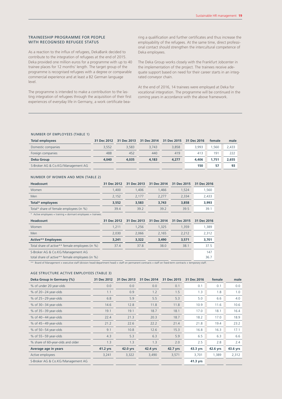#### TRAINEESHIP PROGRAMME FOR PEOPLE WITH RECOGNISED REFUGEE STATUS

As a reaction to the influx of refugees, DekaBank decided to contribute to the integration of refugees at the end of 2015. Deka provided one million euros for a programme with up to 40 trainee places for 12 months' length. The target group of the programme is recognised refugees with a degree or comparable commercial experience and at least a B2 German language level.

The programme is intended to make a contribution to the lasting integration of refugees through the acquisition of their first experiences of everyday life in Germany, a work certificate bearing a qualification and further certificates and thus increase the employability of the refugees. At the same time, direct professional contact should strengthen the intercultural competence of Deka employees.

The Deka Group works closely with the Frankfurt Jobcenter in the implementation of the project. The trainees receive adequate support based on need for their career starts in an integrated conveyor chain.

At the end of 2016, 14 trainees were employed at Deka for vocational integration. The programme will be continued in the coming years in accordance with the above framework.

#### NUMBER OF EMPLOYEES (TABLE 1)

| <b>Total employees</b>            | 31 Dec 2012 | 31 Dec 2013 | 31 Dec 2014 | 31 Dec 2015 | 31 Dec 2016 | female | male  |
|-----------------------------------|-------------|-------------|-------------|-------------|-------------|--------|-------|
| Domestic companies                | 3.552       | 3.583       | 3.743       | 3.858       | 3.993       | 1.560  | 2.433 |
| Foreign companies                 | 488         | 452         | 440         | 419         | 413         | 191    | 222   |
| <b>Deka Group</b>                 | 4.040       | 4,035       | 4.183       | 4.277       | 4.406       | 1.751  | 2.655 |
| S-Broker AG & Co.KG/Management AG |             |             |             |             | 150         | 57     | 93    |

#### NUMBER OF WOMEN AND MEN (TABLE 2)

| <b>Headcount</b>                                              | 31 Dec 2012 | 31 Dec 2013 | 31 Dec 2014 | 31 Dec 2015 | 31 Dec 2016 |
|---------------------------------------------------------------|-------------|-------------|-------------|-------------|-------------|
| Women                                                         | 1.400       | 1.406       | 1.466       | 1.524       | 1,560       |
| Men                                                           | 2.152       | 2.177       | 2.277       | 2.334       | 2,433       |
| Total* employees                                              | 3,552       | 3,583       | 3.743       | 3,858       | 3,993       |
| Total* share of female employees (in %)                       | 39.4        | 39.2        | 39.2        | 39.5        | 39.1        |
| * Active employees + training + dormant employees + trainees. |             |             |             |             |             |

| <b>Headcount</b>                                | 31 Dec 2012 | 31 Dec 2013 | 31 Dec 2014 | 31 Dec 2015 | 31 Dec 2016 |
|-------------------------------------------------|-------------|-------------|-------------|-------------|-------------|
| Women                                           | 1.211       | 1.256       | 1.325       | 1.359       | 1.389       |
| Men                                             | 2.030       | 2.066       | 2.165       | 2,212       | 2,312       |
| <b>Active** Employees</b>                       | 3,241       | 3,322       | 3,490       | 3,571       | 3,701       |
| Total share of active** female employees (in %) | 37.4        | 37.8        | 38.0        | 38.1        | 37.5        |
| S-Broker AG & Co.KG/Management AG               |             |             |             |             | 147         |
| total share of active** female employees (in %) |             |             |             |             | 36.7        |

\*\* Board of Management + executive staff (division head/department head) + staff on permanent contracts + staff on fixed-term contracts + temporary staff.

### AGE STRUCTURE ACTIVE EMPLOYEES (TABLE 3)

| Deka Group in Germany (%)         | 31 Dec 2012 | 31 Dec 2013 | 31 Dec 2014 | 31 Dec 2015 | 31 Dec 2016 | female   | male     |
|-----------------------------------|-------------|-------------|-------------|-------------|-------------|----------|----------|
| % of under 20 year-olds           | 0.0         | 0.0         | 0.0         | 0.1         | 0.1         | 0.1      | 0.0      |
| % of $20-24$ year-olds            | 1.1         | 0.9         | 1.2         | 1.5         | 1.3         | 1.8      | 1.0      |
| $%$ of 25 - 29 year-olds          | 6.8         | 5.9         | 5.5         | 5.3         | 5.0         | 6.6      | 4.0      |
| % of $30-34$ year-olds            | 14.6        | 12.8        | 11.8        | 11.8        | 10.9        | 11.6     | 10.6     |
| $%$ of 35 - 39 year-olds          | 19.1        | 19.1        | 18.7        | 18.1        | 17.0        | 18.1     | 16.4     |
| % of $40-44$ year-olds            | 22.4        | 21.3        | 20.3        | 18.7        | 18.2        | 17.0     | 18.9     |
| $%$ of 45-49 year-olds            | 21.2        | 22.6        | 22.2        | 21.4        | 21.8        | 19.4     | 23.2     |
| $%$ of 50 $-54$ year-olds         | 9.1         | 10.8        | 12.6        | 15.3        | 16.8        | 16.3     | 17.1     |
| % of $55-59$ year-olds            | 4.3         | 5.3         | 6.3         | 5.9         | 6.5         | 6.3      | 6.6      |
| % share of 60-year-olds and older | 1.3         | 1.3         | 1.3         | 2.0         | 2.5         | 2.8      | 2.4      |
| Average age in years              | 41.2 yrs    | 42.0 yrs    | 42.4 yrs    | 42.7 yrs    | 43.3 yrs    | 42.6 yrs | 43.6 yrs |
| Active employees                  | 3,241       | 3,322       | 3,490       | 3,571       | 3,701       | 1,389    | 2,312    |
| S-Broker AG & Co.KG/Management AG |             |             |             |             | 41.3 yrs    |          |          |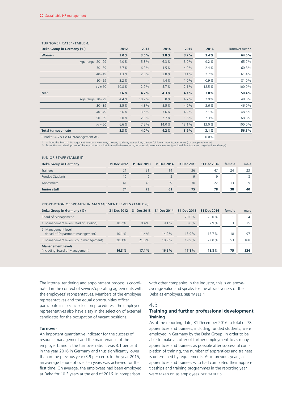| Deka Group in Germany (%)         | 2012  | 2013  | 2014  | 2015  | 2016    | Turnover rate** |
|-----------------------------------|-------|-------|-------|-------|---------|-----------------|
| <b>Women</b>                      | 3.0%  | 3.6%  | 3.8%  | 3.7%  | 3.4%    | 64.6%           |
| Age range 20-29                   | 4.0%  | 5.3%  | 6.3%  | 3.9%  | 9.2%    | 65.7%           |
| $30 - 39$                         | 3.7%  | 6.2%  | 4.5%  | 4.9%  | 2.4%    | 60.8%           |
| $40 - 49$                         | 1.3%  | 2.0%  | 3.8%  | 3.1%  | 2.7%    | 61.4%           |
| $50 - 59$                         | 3.2%  |       | 1.4%  | 1.0%  | 0.9%    | 81.0%           |
| $>$ /= 60                         | 10.8% | 2.2%  | 5.7%  | 12.1% | 18.5%   | 100.0%          |
| <b>Men</b>                        | 3.6%  | 4.2%  | 4.3%  | 4.1%  | 3.0%    | 50.4%           |
| Age range 20-29                   | 4.4%  | 10.7% | 5.0%  | 4.7%  | 2.9%    | 48.0%           |
| $30 - 39$                         | 3.5%  | 4.8%  | 5.5%  | 4.9%  | $3.6\%$ | 46.0%           |
| $40 - 49$                         | 3.6%  | 3.6%  | 3.6%  | 4.2%  | 2.1%    | 48.5%           |
| $50 - 59$                         | 2.0%  | 2.0%  | 2.7%  | 1.6%  | 2.3%    | 68.8%           |
| $>$ /= 60                         | 6.6%  | 7.5%  | 14.0% | 13.1% | 13.0%   | 100.0%          |
| <b>Total turnover rate</b>        | 3.3%  | 4.0%  | 4.2%  | 3.9%  | 3.1%    | 56.5%           |
| S-Broker AG & Co.KG/Management AG |       |       |       |       | 6.0%    |                 |

## TURNOVER RATE\* (TABLE 4)

\* without the Board of Management, temporary workers, trainees, students, apprentices, trainees/diploma students, pensioners (start supply reference).<br>\*\* Promotion and development of the internal job market; internal befor

#### JUNIOR STAFF (TABLE 5)

| Deka Group in Germany  |    |    |    | 31 Dec 2012 31 Dec 2013 31 Dec 2014 31 Dec 2015 31 Dec 2016 |    | female | male |
|------------------------|----|----|----|-------------------------------------------------------------|----|--------|------|
| <b>Trainees</b>        |    |    | 14 | 36                                                          | 47 | 24     | 23   |
| <b>Funded Students</b> |    |    |    | $\mathsf{Q}$                                                | Q  |        |      |
| Apprentices            | 41 | 43 | 39 | 30                                                          | 22 | 13     |      |
| <b>Junior staff</b>    | 74 |    |    | 75                                                          | 78 | 38     | 40   |

#### PROPORTION OF WOMEN IN MANAGEMENT LEVELS (TABLE 6)

| Deka Group in Germany (%)                                   | 31 Dec 2012 | 31 Dec 2013 | 31 Dec 2014 | 31 Dec 2015 | 31 Dec 2016 | female | male |
|-------------------------------------------------------------|-------------|-------------|-------------|-------------|-------------|--------|------|
| Board of Management                                         |             |             |             | $20.0\%$    | $20.0\%$    |        |      |
| 1. Management level (Head of Division)                      | 10.7%       | 9.4%        | 9.1%        | 8.8%        | 7.9%        |        | 35   |
| 2. Management level<br>(Head of Department management)      | $10.1\%$    | 11.4%       | 14.2%       | 15.9%       | 15.7%       | 18     | 97   |
| 3. Management level (Group management)                      | 20.3%       | 21.0%       | 18.9%       | 19.9%       | 22.0%       | 53     | 188  |
| <b>Management levels</b><br>(including Board of Management) | 16.3%       | 17.1%       | 16.5%       | 17.8%       | 18.8%       | 75     | 324  |

The internal tendering and appointment process is coordinated in the context of service/operating agreements with the employees' representatives. Members of the employee representatives and the equal opportunities officer participate in specific selection procedures. The employee representatives also have a say in the selection of external candidates for the occupation of vacant positions.

#### **Turnover**

An important quantitative indicator for the success of resource management and the maintenance of the employer brand is the turnover rate. It was 3.1 per cent in the year 2016 in Germany and thus significantly lower than in the previous year (3.9 per cent). In the year 2015, an average tenure of over ten years was achieved for the first time. On average, the employees had been employed at Deka for 10.3 years at the end of 2016. In comparison

with other companies in the industry, this is an aboveaverage value and speaks for the attractiveness of the Deka as employers. SEE TABLE 4

#### 4.3

## **Training and further professional development Training**

As at the reporting date, 31 December 2016, a total of 78 apprentices and trainees, including funded students, were employed in Germany by the Deka Group. In order to be able to make an offer of further employment to as many apprentices and trainees as possible after successful completion of training, the number of apprentices and trainees is determined by requirements. As in previous years, all apprentices and trainees who had completed their apprenticeships and training programmes in the reporting year were taken on as employees. SEE TABLE 5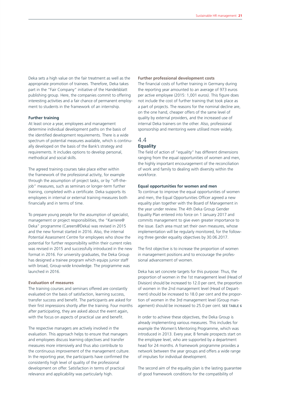Deka sets a high value on the fair treatment as well as the appropriate promotion of trainees. Therefore, Deka takes part in the "Fair Company" initiative of the Handelsblatt publishing group. Here, the companies commit to offering interesting activities and a fair chance of permanent employment to students in the framework of an internship.

### **Further training**

At least once a year, employees and management determine individual development paths on the basis of the identified development requirements. There is a wide spectrum of potential measures available, which is continually developed on the basis of the Bank's strategy and requirements. It includes options to develop personal, methodical and social skills.

The agreed training courses take place either within the framework of the professional activity, for example through the assumption of project tasks, or by "off-thejob" measures, such as seminars or longer-term further training, completed with a certificate. Deka supports its employees in internal or external training measures both financially and in terms of time.

To prepare young people for the assumption of specialist, management or project responsibilities, the "Karriere@ Deka" programme (Careers@Deka) was revised in 2015 and the new format started in 2016. Also, the internal Potential Assessment Centre for employees who show the potential for further responsibility within their current roles was revised in 2015 and successfully introduced in the new format in 2016. For university graduates, the Deka Group has designed a trainee program which equips junior staff with broad, Group-wide knowledge. The programme was launched in 2016.

#### **Evaluation of measures**

The training courses and seminars offered are constantly evaluated on the basis of satisfaction, learning success, transfer success and benefit. The participants are asked for their first impressions shortly after the training. Four months after participating, they are asked about the event again, with the focus on aspects of practical use and benefit.

The respective managers are actively involved in the evaluation. This approach helps to ensure that managers and employees discuss learning objectives and transfer measures more intensively and thus also contribute to the continuous improvement of the management culture. In the reporting year, the participants have confirmed the consistently high level of quality of the professional development on offer. Satisfaction in terms of practical relevance and applicability was particularly high.

**Further professional development costs**

The financial costs of further training in Germany during the reporting year amounted to an average of 973 euros per active employee (2015: 1,001 euros). This figure does not include the cost of further training that took place as a part of projects. The reasons for the nominal decline are, on the one hand, cheaper offers of the same level of quality by external providers, and the increased use of internal Deka trainers on the other. Also, professional sponsorship and mentoring were utilised more widely.

## 4.4 **Equality**

The field of action of "equality" has different dimensions ranging from the equal opportunities of women and men, the highly important encouragement of the reconciliation of work and family to dealing with diversity within the workforce.

#### **Equal opportunities for women and men**

To continue to improve the equal opportunities of women and men, the Equal Opportunities Officer agreed a new equality plan together with the Board of Management in the year under review. The 4th Deka Group Gender Equality Plan entered into force on 1 January 2017 and commits management to give even greater importance to the issue. Each area must set their own measures, whose implementation will be regularly monitored, for the following three gender equality objectives by 30.06.2017.

The first objective is to increase the proportion of women in management positions and to encourage the professional advancement of women.

Deka has set concrete targets for this purpose: Thus, the proportion of women in the 1st management level (Head of Division) should be increased to 12.0 per cent, the proportion of women in the 2nd management level (Head of Department) should be increased to 18.0 per cent and the proportion of women in the 3rd management level (Group management) should be increased to 25.0 per cent. SEE TABLE 6

In order to achieve these objectives, the Deka Group is already implementing various measures. This includes for example the Women's Mentoring Programme, which was introduced in 2013. Every year, 8 female prospects start on the employee level, who are supported by a department head for 24 months. A framework programme provides a network between the year groups and offers a wide range of impulses for individual development.

The second aim of the equality plan is the lasting guarantee of good framework conditions for the compatibility of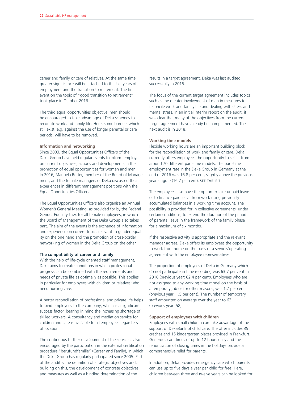career and family or care of relatives. At the same time, greater significance will be attached to the last years of employment and the transition to retirement. The first event on the topic of "good transition to retirement" took place in October 2016.

The third equal opportunities objective, men should be encouraged to take advantage of Deka schemes to reconcile work and family life. Here, some barriers which still exist, e.g. against the use of longer parental or care periods, will have to be removed.

#### **Information and networking**

Since 2003, the Equal Opportunities Officers of the Deka Group have held regular events to inform employees on current objectives, actions and developments in the promotion of equal opportunities for women and men. In 2016, Manuela Better, member of the Board of Management, and the female managers of Deka discussed their experiences in different management positions with the Equal Opportunities Officers.

The Equal Opportunities Officers also organise an Annual Women's General Meeting, as provided for by the Federal Gender Equality Law, for all female employees, in which the Board of Management of the Deka Group also takes part. The aim of the events is the exchange of information and experience on current topics relevant to gender equality on the one hand and the promotion of cross-border networking of women in the Deka Group on the other.

#### **The compatibility of career and family**

With the help of life-cycle oriented staff management, Deka aims to create conditions in which professional progress can be combined with the requirements and needs of private life as optimally as possible. This applies in particular for employees with children or relatives who need nursing care.

A better reconciliation of professional and private life helps to bind employees to the company, which is a significant success factor, bearing in mind the increasing shortage of skilled workers. A consultancy and mediation service for children and care is available to all employees regardless of location.

The continuous further development of the service is also encouraged by the participation in the external certification procedure "berufundfamilie" (Career and Family), in which the Deka Group has regularly participated since 2005. Part of the audit is the definition of strategic objectives and, building on this, the development of concrete objectives and measures as well as a binding determination of the

results in a target agreement. Deka was last audited successfully in 2015.

The focus of the current target agreement includes topics such as the greater involvement of men in measures to reconcile work and family life and dealing with stress and mental stress. In an initial interim report on the audit, it was clear that many of the objectives from the current target agreement have already been implemented. The next audit is in 2018.

#### **Working time models**

Flexible working hours are an important building block for the reconciliation of work and family or care. Deka currently offers employees the opportunity to select from around 70 different part-time models. The part-time employment rate in the Deka Group in Germany at the end of 2016 was 16.8 per cent, slightly above the previous year's figure (16.7 per cent). SEE TABLE 7

The employees also have the option to take unpaid leave or to finance paid leave from work using previously accumulated balances in a working time account. The possibility is provided for in collective agreements, under certain conditions, to extend the duration of the period of parental leave in the framework of the family phase for a maximum of six months.

If the respective activity is appropriate and the relevant manager agrees, Deka offers its employees the opportunity to work from home on the basis of a service /operating agreement with the employee representatives.

The proportion of employees of Deka in Germany which do not participate in time recording was 63.7 per cent in 2016 (previous year: 62.4 per cent). Employees who are not assigned to any working time model on the basis of a temporary job or for other reasons, was 1.7 per cent (previous year: 1.5 per cent). The number of temporary staff amounted on average over the year to 63 (previous year: 58).

## **Support of employees with children** Employees with small children can take advantage of the support of DekaBank of child care. The offer includes 35 crèches and 15 kindergarten places provided in Frankfurt. Generous care times of up to 12 hours daily and the renunciation of closing times in the holidays provide a comprehensive relief for parents.

In addition, Deka provides emergency care which parents can use up to five days a year per child for free. Here, children between three and twelve years can be looked for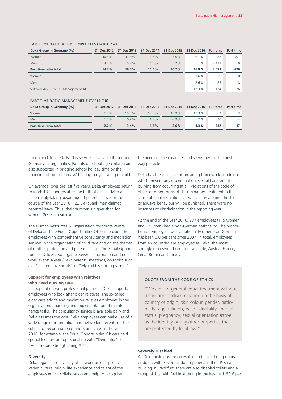| Deka Group in Germany (%)         | 31 Dec 2012 | 31 Dec 2013 | 31 Dec 2014 | 31 Dec 2015 | 31 Dec 2016 | <b>Full-time</b> | <b>Part-time</b> |
|-----------------------------------|-------------|-------------|-------------|-------------|-------------|------------------|------------------|
| Women                             | 30.5%       | 33.6%       | 34.6%       | 35.6%       | 36.1%       | 888              | 501              |
| Men                               | 4.5%        | $5.2\%$     | $4.6\%$     | 5.2%        | 5.1%        | 2.193            | 119              |
| <b>Part-time ratio total</b>      | 14.2%       | 16.0%       | 16.0%       | 16.7%       | 16.8%       | 3.081            | 620              |
| Women                             |             |             |             |             | 31.6%       | 39               | 18               |
| Men                               |             |             |             |             | $8.6\%$     | 85               | 8                |
| S-Broker AG & Co.KG/Management AG |             |             |             |             | 17.3%       | 124              | 26               |

### PART-TIME RATIO ACTIVE EMPLOYEES (TABLE 7.A)

#### PART-TIME RATIO MANAGEMENT (TABLE 7.B)

| Deka Group in Germany (%) | 31 Dec 2012 |         | 31 Dec 2013 31 Dec 2014 31 Dec 2015 31 Dec 2016 Full-time |          |         |     | <b>Part-time</b> |
|---------------------------|-------------|---------|-----------------------------------------------------------|----------|---------|-----|------------------|
| Women                     | $117\%$     | 154%    | 18.5%                                                     | $15.9\%$ | 17.3%   | 62  | 13.              |
| Men                       | $1.0\%$     | $0.9\%$ | 18%                                                       | $0.9\%$  | 1, 2%   | 320 |                  |
| Part-time ratio total     | $2.7\%$     | $3.4\%$ | $4.6\%$                                                   | $3.6\%$  | $4.3\%$ | 382 | 17               |
|                           |             |         |                                                           |          |         |     |                  |

if regular childcare fails. This service is available throughout Germany in larger cities. Parents of school-age children are also supported in bridging school holiday time by the financing of up to ten days' holiday per year and per child.

On average, over the last five years, Deka employees return to work 13.1 months after the birth of a child. Men are increasingly taking advantage of parental leave. In the course of the year 2016, 122 DekaBank men claimed parental leave. Thus, their number is higher than for women (58) SEE TABLE 8

The Human Resources & Organisation corporate centre of Deka and the Equal Opportunities Officers provide the employees with comprehensive consultancy and mediation services in the organisation of child care and on the themes of mother protection and parental leave. The Equal Opportunities Officer also organise several information and network events a year (Deka parents' meetings) on topics such as "Children have rights" or "My child is starting school".

## **Support for employees with relatives who need nursing care**

In cooperation with professional partners, Deka supports employees who look after older relatives. The so-called elder care advice and mediation relieves employees in the organisation, financing and implementation of maintenance tasks. The consultancy service is available daily and Deka assumes the cost. Deka employees can make use of a wide range of information and networking events on the subject of reconciliation of work and care. In the year 2016, for example, the Equal Opportunities Officers held special lectures on topics dealing with "Dementia" or "Health Care Strengthening Act".

#### **Diversity**

Deka regards the diversity of its workforce as positive. Varied cultural origin, life experience and talent of the employees enrich collaboration and help to recognise

the needs of the customer and serve them in the best way possible.

Deka has the objective of providing framework conditions which prevent any discrimination, sexual harassment or bullying from occurring at all. Violations of the code of ethics or other forms of discriminatory treatment in the sense of legal regulations as well as threatening, hostile or abusive behaviour will be punished. There were no instances of discrimination in the reporting year.

At the end of the year 2016, 237 employees (115 women and 122 men) had a non-German nationality. The proportion of employees with a nationality other than German has been 6.0 per cent since 2007. In total, employees from 45 countries are employed at Deka, the most strongly-represented countries are Italy, Austria, France, Great Britain and Turkey.

#### QUOTE FROM THE CODE OF ETHICS

"We aim for general equal treatment without distinction or discrimination on the basis of country of origin, skin colour, gender, nationality, age, religion, belief, disability, marital status, pregnancy, sexual orientation as well as the identity or any other properties that are protected by local law."

#### **Severely Disabled**

All Deka buildings are accessible and have sliding doors or doors with electronic door openers. In the "Prisma" building in Frankfurt, there are also disabled toilets and a group of lifts with Braille lettering in the key field. 53.6 per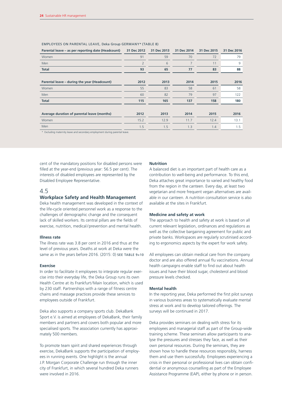| Parental leave – as per reporting date (Headcount)                                                                                                                                                                            | 31 Dec 2012    | 31 Dec 2013 | 31 Dec 2014 | 31 Dec 2015 | 31 Dec 2016 |
|-------------------------------------------------------------------------------------------------------------------------------------------------------------------------------------------------------------------------------|----------------|-------------|-------------|-------------|-------------|
| Women                                                                                                                                                                                                                         | 91             | 59          | 70          | 72          | 79          |
| <b>Men</b>                                                                                                                                                                                                                    | $\overline{2}$ | 6           |             | 11          | 9           |
| <b>Total</b>                                                                                                                                                                                                                  | 93             | 65          | 77          | 83          | 88          |
|                                                                                                                                                                                                                               |                |             |             |             |             |
| Parental leave – during the year (Headcount)                                                                                                                                                                                  | 2012           | 2013        | 2014        | 2015        | 2016        |
| Women                                                                                                                                                                                                                         | 55             | 83          | 58          | 61          | 58          |
| Men                                                                                                                                                                                                                           | 60             | 82          | 79          | 97          | 122         |
| <b>Total</b>                                                                                                                                                                                                                  | 115            | 165         | 137         | 158         | 180         |
|                                                                                                                                                                                                                               |                |             |             |             |             |
| Average duration of parental leave (months)                                                                                                                                                                                   | 2012           | 2013        | 2014        | 2015        | 2016        |
| Women                                                                                                                                                                                                                         | 15.2           | 12.9        | 11.7        | 12.4        | 13.1        |
| Men                                                                                                                                                                                                                           | 1.5            | 1.5         | 1.3         | 1.4         | 1.5         |
| the company of the company of the company of the company of the company of the company of the company of the company of the company of the company of the company of the company of the company of the company of the company |                |             |             |             |             |

#### EMPLOYEES ON PARENTAL LEAVE, Deka Group GERMANY\* (TABLE 8)

\* Excluding maternity leave and secondary employment during parental leave.

cent of the mandatory positions for disabled persons were filled at the year-end (previous year: 56.5 per cent). The interests of disabled employees are represented by the Disabled Employee Representative.

## 4.5

#### **Workplace Safety and Health Management**

Deka health management was developed in the context of the life-cycle oriented personnel work as a response to the challenges of demographic change and the consequent lack of skilled workers. Its central pillars are the fields of exercise, nutrition, medical/prevention and mental health.

## **Illness rate**

The illness rate was 3.8 per cent in 2016 and thus at the level of previous years. Deaths at work at Deka were the same as in the years before 2016. (2015: 0) SEE TABLE 9+10

#### **Exercise**

In order to facilitate it employees to integrate regular exercise into their everyday life, the Deka Group runs its own Health Centre at its Frankfurt/Main location, which is used by 230 staff. Partnerships with a range of fitness centre chains and massage practices provide these services to employees outside of Frankfurt.

Deka also supports a company sports club. DekaBank Sport e.V. is aimed at employees of DekaBank, their family members and partners and covers both popular and more specialised sports. The association currently has approximately 500 members.

To promote team spirit and shared experiences through exercise, DekaBank supports the participation of employees in running events. One highlight is the annual J.P. Morgan Corporate Challenge run through the inner city of Frankfurt, in which several hundred Deka runners were involved in 2016.

#### **Nutrition**

A balanced diet is an important part of health care as a contribution to well-being and performance. To this end, Deka attaches great importance to varied and healthy food from the region in the canteen. Every day, at least two vegetarian and more frequent vegan alternatives are available in our canteen. A nutrition consultation service is also available at the sites in Frankfurt.

## **Medicine and safety at work**

The approach to health and safety at work is based on all current relevant legislation, ordinances and regulations as well as the collective bargaining agreement for public and private banks. Workspaces are regularly scrutinised according to ergonomics aspects by the expert for work safety.

All employees can obtain medical care from the company doctor and are also offered annual flu vaccinations. Annual health campaigns enable staff to find out about health issues and have their blood sugar, cholesterol and blood pressure levels checked.

#### **Mental health**

In the reporting year, Deka performed the first pilot surveys in various business areas to systematically evaluate mental stress at work and to develop tailored offerings. The surveys will be continued in 2017.

Deka provides seminars on dealing with stress for its employees and managerial staff as part of the Group-wide training scheme. These seminars allow participants to analyse the pressures and stresses they face, as well as their own personal resources. During the seminars, they are shown how to handle these resources responsibly, harness them and use them successfully. Employees experiencing a crisis in their personal or professional lives can obtain confidential or anonymous counselling as part of the Employee Assistance Programme (EAP), either by phone or in person.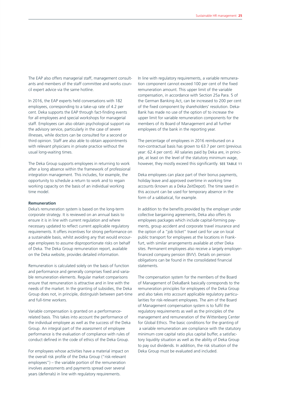The EAP also offers managerial staff, management consultants and members of the staff committee and works council expert advice via the same hotline.

In 2016, the EAP experts held conversations with 182 employees, corresponding to a take-up rate of 4.2 per cent. Deka supports the EAP through fact-finding events for all employees and special workshops for managerial staff. Employees can also obtain psychological support via the advisory service, particularly in the case of severe illnesses, while doctors can be consulted for a second or third opinion. Staff are also able to obtain appointments with relevant physicians in private practice without the usual long-waiting times.

The Deka Group supports employees in returning to work after a long absence within the framework of professional integration management. This includes, for example, the opportunity to schedule a return to work and to regain working capacity on the basis of an individual working time model.

#### **Remuneration**

Deka's remuneration system is based on the long-term corporate strategy. It is reviewed on an annual basis to ensure it is in line with current regulation and where necessary updated to reflect current applicable regulatory requirements. It offers incentives for strong performance on a sustainable basis, whilst avoiding any that would encourage employees to assume disproportionate risks on behalf of Deka. The Deka Group remuneration report, available on the Deka website, provides detailed information.

Remuneration is calculated solely on the basis of function and performance and generally comprises fixed and variable remuneration elements. Regular market comparisons ensure that remuneration is attractive and in line with the needs of the market. In the granting of subsidies, the Deka Group does not, in principle, distinguish between part-time and full-time workers.

Variable compensation is granted on a performancerelated basis. This takes into account the performance of the individual employee as well as the success of the Deka Group. An integral part of the assessment of employee performance is the evaluation of compliance with rules of conduct defined in the code of ethics of the Deka Group.

For employees whose activities have a material impact on the overall risk profile of the Deka Group ("risk-relevant employees") – the variable portion of the remuneration involves assessments and payments spread over several years (deferrals) in line with regulatory requirements.

In line with regulatory requirements, a variable remuneration component cannot exceed 100 per cent of the fixed remuneration amount. This upper limit of the variable compensation, in accordance with Section 25a Para. 5 of the German Banking Act, can be increased to 200 per cent of the fixed component by shareholders' resolution. Deka-Bank has made no use of the option of to increase the upper limit for variable remuneration components for the members of its Board of Management and all further employees of the bank in the reporting year.

The percentage of employees in 2016 reimbursed on a non-contractual basis has grown to 63.7 per cent (previous year: 62.4 per cent). All salaries paid by Deka are, in principle, at least on the level of the statutory minimum wage, however, they mostly exceed this significantly. SEE TABLE 11

Deka employees can place part of their bonus payments, holiday leave and approved overtime in working time accounts (known as a Deka ZeitDepot). The time saved in this account can be used for temporary absence in the form of a sabbatical, for example.

In addition to the benefits provided by the employer under collective bargaining agreements, Deka also offers its employees packages which include capital-forming payments, group accident and corporate travel insurance and the option of a "job ticket" travel card for use on local public transport for employees at the locations in Frankfurt, with similar arrangements available at other Deka sites. Permanent employees also receive a largely employerfinanced company pension (BVV). Details on pension obligations can be found in the consolidated financial statements.

The compensation system for the members of the Board of Management of DekaBank basically corresponds to the remuneration principles for employees of the Deka Group and also takes into account applicable regulatory particularities for risk-relevant employees. The aim of the Board of Management compensation system is to fulfil the regulatory requirements as well as the principles of the management and remuneration of the Wittenberg Center for Global Ethics. The basic conditions for the granting of a variable remuneration are compliance with the statutory minimum core capital ratio plus capital buffer, a satisfactory liquidity situation as well as the ability of Deka Group to pay out dividends. In addition, the risk situation of the Deka Group must be evaluated and included.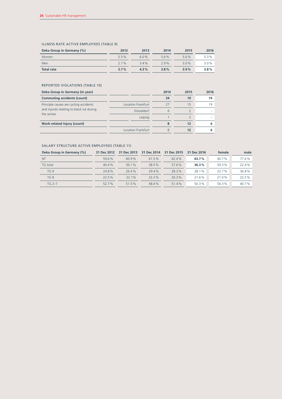## ILLNESS RATE ACTIVE EMPLOYEES (TABLE 9)

| Deka Group in Germany (%) | 2012    | 2013 | 2014 | 2015    | 2016 |
|---------------------------|---------|------|------|---------|------|
| Women                     | 5.5%    | 60%  | 5.6% | 5.6%    | 5.3% |
| Men                       | $2.7\%$ | 3.4% | 29%  | $3.0\%$ | 3.0% |
| <b>Total rate</b>         | 3.7%    | 4.3% | 3.8% | 3.9%    | 3.8% |

## REPORTED VIOLATIONS (TABLE 10)

| Deka Group in Germany (in year)                                                                   |                           | 2014 | 2015 | 2016 |
|---------------------------------------------------------------------------------------------------|---------------------------|------|------|------|
| <b>Commuting accidents (count)</b>                                                                |                           | 34   | 19   | 19   |
| Principle causes are cycling accidents<br>and injuries relating to black ice during<br>the winter | Location Frankfurt        | 27   | 15   | 19   |
|                                                                                                   | Düsseldorf                | 6    |      |      |
|                                                                                                   | Leipzig                   |      |      |      |
| Work-related injury (count)                                                                       |                           |      | 12   |      |
|                                                                                                   | <b>Location Frankfurt</b> |      | 12   |      |

## SALARY STRUCTURE ACTIVE EMPLOYEES (TABLE 11)

| Deka Group in Germany (%) | 31 Dec 2012 | 31 Dec 2013 | 31 Dec 2014 | 31 Dec 2015 | 31 Dec 2016 | female | male  |
|---------------------------|-------------|-------------|-------------|-------------|-------------|--------|-------|
| <b>NT</b>                 | 59.6%       | 60.9%       | 61.5%       | 62.4%       | 63.7%       | 40.7%  | 77.6% |
| TG total                  | 40.4%       | 39.1%       | 38.5%       | 37.6%       | 36.3%       | 59.3%  | 22.4% |
| TG9                       | 24.8%       | 26.4%       | 29.4%       | 28.3%       | 28.1%       | 22.7%  | 36.8% |
| TG <sub>8</sub>           | 22.5%       | 22.1%       | $22.2\%$    | 20.3%       | 21.6%       | 21.0%  | 22.5% |
| $TG 2-7$                  | 52.7%       | 51.5%       | 48.4%       | 51.4%       | 50.3%       | 56.3%  | 40.7% |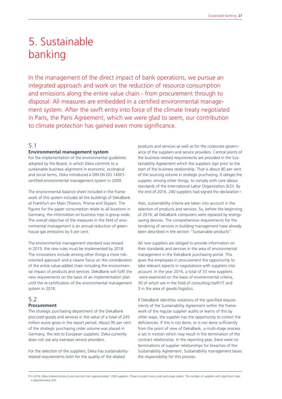# 5. Sustainable banking

In the management of the direct impact of bank operations, we pursue an integrated approach and work on the reduction of resource consumption and emissions along the entire value chain - from procurement through to disposal. All measures are embedded in a certified environmental management system. After the swift entry into force of the climate treaty negotiated in Paris, the Paris Agreement, which we were glad to seem, our contribution to climate protection has gained even more significance.

## 5.1

#### **Environmental management system**

For the implementation of the environmental guidelines adopted by the Board, in which Deka commits to a sustainable business alignment in economic, ecological and social terms, Deka introduced a DIN EN ISO 14001 certified environmental management system in 2009.

The environmental balance sheet included in the framework of this system includes all the buildings of DekaBank at Frankfurt am Main (Trianon, Prisma and Skyper). The figures for the paper consumption relate to all locations in Germany, the information on business trips is group-wide. The overall objective of the measures in the field of environmental management is an annual reduction of greenhouse gas emissions by 5 per cent.

The environmental management standard was revised in 2015, the new rules must be implemented by 2018. The innovations include among other things a more riskoriented approach and a clearer focus on the consideration of the entire value-added chain including the environmental impact of products and services. DekaBank will fulfil the new requirements on the basis of an implementation plan until the re-certification of the environmental management system in 2018.

## 5.2 **Procurement**

The strategic purchasing department of the DekaBank procured goods and services in the value of a total of 245 million euros gross in the report period. About 95 per cent of the strategic purchasing order volume was placed in Germany, the rest to European suppliers. Deka currently does not use any overseas service providers.

For the selection of the suppliers, Deka has sustainabilityrelated requirements both for the quality of the related

products and services as well as for the corporate governance of the suppliers and service providers. Central points of the business-related requirements are provided in the Sustainability Agreement which the suppliers sign prior to the start of the business relationship. That is about 80 per cent of the sourcing volume in strategic purchasing. It obliges the supplier, among other things, to comply with core labour standards of the International Labor Organization (ILO). By the end of 2016, 240 suppliers had signed the declaration<sup>1</sup>.

Also, sustainability criteria are taken into account in the selection of products and services. So, before the beginning of 2016, all DekaBank computers were replaced by energysaving devices. The comprehensive requirements for the tendering of services in building management have already been described in the section "Sustainable products".

All new suppliers are obliged to provide information on their standards and services in the area of environmental management in the DekaBank purchasing portal. This gives the employees in procurement the opportunity to take relevant aspects in negotiations with suppliers into account. In the year 2016, a total of 33 new suppliers were examined on the basis of environmental criteria, 30 of which are in the field of consulting/staff/IT and 3 in the area of goods/logistics.

If DekaBank identifies violations of the specified requirements of the Sustainability Agreement within the framework of the regular supplier audits or learns of this by other ways, the supplier has the opportunity to correct the deficiencies. If this is not done, or is not done sufficiently from the point of view of DekaBank, a multi-stage process is set in motion which may result in the termination of the contract relationship. In the reporting year, there were no terminations of supplier relationships for breaches of the Sustainability Agreement. Sustainability management bears the responsibility for this process.

**1** In 2016, Deka ordered products and services from approximately 1,000 suppliers. These included many small and single orders. The number of suppliers with significant sales is approximately 200.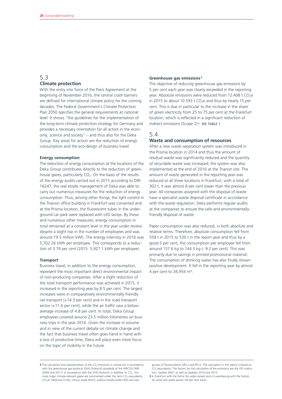## 5.3 **Climate protection**

With the entry into force of the Paris Agreement at the beginning of November 2016, the central crash barriers are defined for international climate policy for the coming decades. The Federal Government's Climate Protection Plan 2050 specifies the general requirements at national level. It shows "the guidelines for the implementation of the long-term climate protection strategy for Germany and provides a necessary orientation for all actors in the economy, science and society" – and thus also for the Deka Group. Key areas for action are the reduction of energy consumption and the eco-design of business travel.

#### **Energy consumption**

The reduction of energy consumption at the locations of the Deka Group contributes directly to the reduction of greenhouse gases, particularly  $CO<sub>2</sub>$ . On the basis of the results of the energy audits carried out in 2015 according to DIN 16247, the real estate management of Deka was able to carry out numerous measures for the reduction of energy consumption. Thus, among other things, the light control in the Trianon office building in Frankfurt was converted and at the Prisma location, the fluorescent tubes in the underground car park were replaced with LED lamps. By these and numerous other measures, energy consumption in total remained at a constant level in the year under review despite a slight rise in the number of employees and was around 19.5 million kWh. The energy intensity in 2016 was 5,702.26 kWh per employee. This corresponds to a reduction of 3.79 per cent (2015: 5,927.1 kWh per employee).

#### **Transport**

Business travel, in addition to the energy consumption, represent the most important direct environmental impact of non-producing companies. After a slight reduction of the total transport performance was achieved in 2015, it increased in the reporting year by 8.5 per cent. The largest increases were in comparatively environmentally-friendly rail transport (+14.3 per cent) and in the road transport sector (+11.6 per cent), while the air traffic saw a belowaverage increase of 4.8 per cent. In total, Deka Group employees covered around 23.5 million kilometres on business trips in the year 2016. Given the increase in volume and in view of the current debate on climate change and the fact that business travel often goes hand in hand with a loss of productive time, Deka will place even more focus on the topic of mobility in the future.

#### **Greenhouse gas emissions <sup>2</sup>**

The objective of reducing greenhouse gas emissions by 5 per cent each year was clearly exceeded in the reporting year. Absolute emissions were reduced from 12.408 t  $CO<sub>2</sub>e$ in 2015 to about 10.593 t  $CO<sub>2</sub>e$  and thus by nearly 15 per cent. This is due in particular to the increase in the share of green electricity from 25 to 75 per cent at the Frankfurt location, which is reflected in a significant reduction of indirect emissions (Scope 2) <sup>3</sup>. SEE TABLE 1

## 5.4

#### **Waste and consumption of resources**

After a new waste separation system was introduced in the Prisma location in 2014 and thus the amount of residual waste was significantly reduced and the quantity of recyclable waste was increased, the system was also implemented at the end of 2016 at the Trianon site. The amount of waste generated in the reporting year was reduced at all three locations in Frankfurt, with a total of 302 t, it was almost 8 per cent lower than the previous year. All companies assigned with the disposal of waste have a specialist waste disposal certificate in accordance with the waste regulation. Deka performs regular audits at the companies to ensure the safe and environmentallyfriendly disposal of waste.

Paper consumption was also reduced, in both absolute and relative terms. Therefore, absolute consumption fell from 558 t in 2015 to 530 t in the report year and thus by a good 5 per cent, the consumption per employee fell from around 157.6 kg to 144.3 kg (- 9.2 per cent). This was primarily due to savings in printed promotional material. The consumption of drinking water has also finally shown positive development. It fell in the reporting year by almost 4 per cent to 34,954 m<sup>3</sup>.

groups of fluorocarbons (HFCs and PFCs). The calculation in this report is based on  $CO<sub>2</sub>$  equivalents. The factors for the calculation of the emissions are the VfU indicators, Update 2007, as well as Updates 2010 and 2013.

**<sup>2</sup>** The calculation and representation of the  $CO<sub>2</sub>$  emissions is carried out in accordance with the greenhouse gas protocol (GHG Protocol) standards of the WBCSD/WRI (2004 and 2011). In accordance with the GHG Protocol, in addition to  $CO_{2'}$  five more major climate-relevant gases are summarised under the term  $\mathsf{CO}_2$ -equivalents (CO<sub>2</sub>e): Methane (CH4), nitrous oxide (N2O), sulphur hexafluoride (SF6) and two

**<sup>3</sup>** In Frankfurt with the factor for water power and in Luxembourg with the factors for wind and water power (50 per cent each).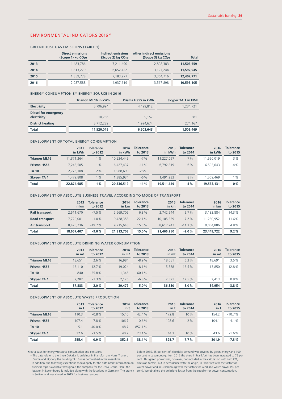## ENVIRONMENTAL INDICATORS 2016 <sup>4</sup>

#### GREENHOUSE GAS EMISSIONS (TABLE 1)

|      | <b>Direct emissions</b><br>$(Scope 1)$ kg $CO2e$ | Indirect emissions<br>$(Scope 2)$ kg $CO2e$ | other indirect emissions<br>$(Scope 3)$ kg $CO2e$ | <b>Total</b> |
|------|--------------------------------------------------|---------------------------------------------|---------------------------------------------------|--------------|
| 2013 | 1,483,786                                        | 7,211,490                                   | 2,808,383                                         | 11,503,659   |
| 2014 | 1,813,279                                        | 6,652,422                                   | 3,127,244                                         | 11,592,945   |
| 2015 | 1.859.778                                        | 7,183,277                                   | 3,364,716                                         | 12,407,771   |
| 2016 | 2,087,588                                        | 4,937,619                                   | 3,567,898                                         | 10,593,105   |

#### ENERGY CONSUMPTION BY ENERGY SOURCE IN 2016

|                                            | <b>Trianon ML16 in kWh</b> | Prisma HS55 in kWh | Skyper TA 1 in kWh |
|--------------------------------------------|----------------------------|--------------------|--------------------|
| <b>Electricity</b>                         | 5,796,994                  | 4.499.812          | 1,234,721          |
| <b>Diesel for emergency</b><br>electricity | 10,786                     | 9.157              | 581                |
| <b>District heating</b>                    | 5,712,239                  | 1.994.674          | 274,167            |
| <b>Total</b>                               | 11,520,019                 | 6,503,643          | 1,509,469          |

#### DEVELOPMENT OF TOTAL ENERGY CONSUMPTION

|                     | 2013<br>in kWh | Tolerance<br>to 2012 | 2014<br>in kWh | Tolerance<br>to 2013 | 2015<br>in kWh | Tolerance<br>to 2014 | 2016<br>in kWh           | <b>Tolerance</b><br>to 2015 |
|---------------------|----------------|----------------------|----------------|----------------------|----------------|----------------------|--------------------------|-----------------------------|
| <b>Trianon ML16</b> | 11,371,264     | $1\%$                | 10.534.449     | $-7%$                | 11.227.097     | 7%                   | 11.520.019               | 3%                          |
| Prisma HS55         | 7.248.505      | 1%                   | 6.427.437      | $-11%$               | 6.792.819      | 6%                   | 6.503.643                | $-4%$                       |
| <b>TA 10</b>        | 2,775,108      | 2%                   | .988.699       | $-28%$               | -              | -                    | $\overline{\phantom{a}}$ |                             |
| <b>Skyper TA 1</b>  | 1,479,808      | 1%                   | .385.934       | $-6%$                | .491.233       | 8%                   | 1,509,469                | $\%$                        |
| <b>Total</b>        | 22,874,685     | $1\%$                | 20,336,519     | $-11%$               | 19,511,149     | $-4%$                | 19,533,131               | $0\%$                       |

#### DEVELOPMENT OF ABSOLUTE BUSINESS TRAVEL ACCORDING TO MODE OF TRANSPORT

|                       | 2013<br>in km | Tolerance<br>to 2012 | 2014<br>in km | <b>Tolerance</b><br>to 2013 | 2015<br>in km | <b>Tolerance</b><br>to 2014 | 2016<br>in km | <b>Tolerance</b><br>to 2015 |
|-----------------------|---------------|----------------------|---------------|-----------------------------|---------------|-----------------------------|---------------|-----------------------------|
| <b>Rail transport</b> | 2.511.670     | $-7.5%$              | 2.669.702     | 6.3%                        | 2.742.944     | $2.7\%$                     | 3.133.884     | 14.3%                       |
| <b>Road transport</b> | 7.720.001     | $-1.0%$              | 9.428.358     | 22.1%                       | 10.105.359    | 7.2%                        | 11.280.952    | 11.6%                       |
| Air transport         | 8,425,736     | $-19.7%$             | 9.715.643     | 15.3%                       | 8.617.947     | $-11.3%$                    | 9.034.886     | 4.8%                        |
| <b>Total</b>          | 18,657,407    | $-9.0%$              | 21.813.703    | 15.0%                       | 21,466,250    | $-2.0%$                     | 23,449,722    | $9.2\%$                     |

#### DEVELOPMENT OF ABSOLUTE DRINKING WATER CONSUMPTION

|                     | 2013<br>in m <sup>3</sup> | <b>Tolerance</b><br>to 2012 | 2014<br>$\mathsf{in} \ \mathsf{m}^3$ | <b>Tolerance</b><br>to 2013 | 2015<br>in m <sup>3</sup> | <b>Tolerance</b><br>to 2014 | 2016<br>$\mathsf{in}\ \mathsf{m}^3$ | <b>Tolerance</b><br>to 2015 |
|---------------------|---------------------------|-----------------------------|--------------------------------------|-----------------------------|---------------------------|-----------------------------|-------------------------------------|-----------------------------|
| <b>Trianon ML16</b> | 18.651                    | 2.6%                        | 16.984                               | $-8.9%$                     | 18.051                    | 6.3%                        | 18.691                              | 3.5%                        |
| Prisma HS55         | 16.110                    | 12.7%                       | 19,024                               | 18.1%                       | 15,888                    | $-16.5%$                    | 13,850                              | $-12.8%$                    |
| <b>TA 10</b>        | 840                       | $-55.8%$                    | 1.345                                | 60.1%                       |                           | $\qquad \qquad -$           | $\overline{\phantom{a}}$            |                             |
| <b>Skyper TA 1</b>  | 2.282                     | $-1.3%$                     | 2.126                                | $-6.8%$                     | 2.391                     | 12.5%                       | 2.413                               | $0.9\%$                     |
| <b>Total</b>        | 37,883                    | 2.0%                        | 39,479                               | 5.0%                        | 36,330                    | $-8.0%$                     | 34,954                              | $-3.8%$                     |

#### DEVELOPMENT OF ABSOLUTE WASTE PRODUCTION

|                     | 2013<br>in t | <b>Tolerance</b><br>to 2012 | 2014<br>in t | <b>Tolerance</b><br>to 2013 | 2015<br>in t | <b>Tolerance</b><br>to 2014 | 2016<br>in t             | <b>Tolerance</b><br>to 2015 |
|---------------------|--------------|-----------------------------|--------------|-----------------------------|--------------|-----------------------------|--------------------------|-----------------------------|
| <b>Trianon ML16</b> | 110.3        | $-0.8\%$                    | 157.0        | 42.4%                       | 172.8        | 10%                         | 154.2                    | $-10.7%$                    |
| Prisma HS55         | 107.4        | 7.8%                        | 106.7        | $-0.6%$                     | 108.6        | 2%                          | 104.1                    | $-4.1%$                     |
| <b>TA 10</b>        | 5.1          | $-40.0\%$                   | 48.7         | 852.1%                      |              | $\overline{\phantom{a}}$    | $\overline{\phantom{a}}$ |                             |
| <b>Skyper TA 1</b>  | 32.6         | $-3.5%$                     | 40.2         | 23.1%                       | 44.3         | 10%                         | 43.6                     | $-1.6%$                     |
| <b>Total</b>        | 255.4        | 0.9%                        | 352.6        | 38.1%                       | 325.7        | $-7.7%$                     | 301.9                    | $-7.3%$                     |

**4** data basis for energy /resource consumption and emissions: – The data relate to the three DekaBank buildings in Frankfurt am Main (Trianon, Prisma and Skyper), the building TA 10 was demolished in the meantime.

location in Luxembourg is included along with the locations in Germany. The branch cent). We obtained the emissions factor from the supplier for power consumption. in Switzerland was closed in 2015 for business reasons.

ln addition, the following exceptions should apply for the data basis: Information on emission factors, but in accordance with the origin, in Frankfurt with the factor for<br>business trips is available throughout the company Before 2015, 25 per cent of electricity demand was covered by green energy and 100 per cent in Luxembourg, from 2016 the share in Frankfurt has been increased to 75 per<br>cent. This green power was, however, not included in the calculation with zero CO<sub>2</sub>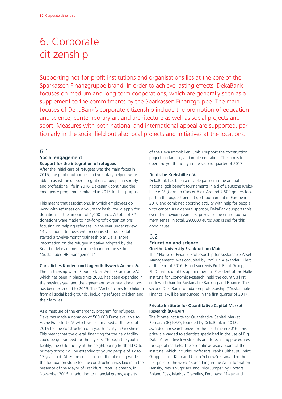# 6. Corporate citizenship

Supporting not-for-profit institutions and organisations lies at the core of the Sparkassen Finanzgruppe brand. In order to achieve lasting effects, DekaBank focuses on medium and long-term cooperations, which are generally seen as a supplement to the commitments by the Sparkassen Finanzgruppe. The main focuses of DekaBank's corporate citizenship include the promotion of education and science, contemporary art and architecture as well as social projects and sport. Measures with both national and international appeal are supported, particularly in the social field but also local projects and initiatives at the locations.

## 6.1

## **Social engagement Support for the integration of refugees**

After the initial care of refugees was the main focus in 2015, the public authorities and voluntary helpers were able to assist the deeper integration of people in society and professional life in 2016. DekaBank continued the emergency programme initiated in 2015 for this purpose.

This meant that associations, in which employees do work with refugees on a voluntary basis, could apply for donations in the amount of 1,000 euros. A total of 82 donations were made to not-for-profit organisations focusing on helping refugees. In the year under review, 14 vocational trainees with recognised refugee status started a twelve-month traineeship at Deka. More information on the refugee initiative adopted by the Board of Management can be found in the section "Sustainable HR management".

#### **Christliches Kinder- und Jugendhilfswerk Arche e.V.**

The partnership with "Freundeskreis Arche Frankfurt e.V.", which has been in place since 2008, has been expanded in the previous year and the agreement on annual donations has been extended to 2019. The "Arche" cares for children from all social backgrounds, including refugee children and their families.

As a measure of the emergency program for refugees, Deka has made a donation of 500,000 Euros available to Arche Frankfurt e.V. which was earmarked at the end of 2015 for the construction of a youth facility in Griesheim. This meant that the overall financing for the new facility could be guaranteed for three years. Through the youth facility, the child facility at the neighbouring Berthold-Otto primary school will be extended to young people of 12 to 17 years old. After the conclusion of the planning works the foundation stone for the construction was laid in in the presence of the Mayor of Frankfurt, Peter Feldmann, in November 2016. In addition to financial grants, experts

of the Deka Immobilien GmbH support the construction project in planning and implementation. The aim is to open the youth facility in the second quarter of 2017.

### **Deutsche Krebshilfe e.V.**

DekaBank has been a reliable partner in the annual national golf benefit tournaments in aid of Deutsche Krebshilfe e. V. (German Cancer Aid). Around 7,500 golfers took part in the biggest benefit golf tournament in Europe in 2016 and combined sporting activity with help for people with cancer. As a general sponsor, DekaBank supports this event by providing winners' prizes for the entire tournament series. In total, 290,000 euros was raised for this good cause.

## 6.2

## **Education and science Goethe University Frankfurt am Main**

The "House of Finance Professorship for Sustainable Asset Management" was occupied by Prof. Dr. Alexander Hillert at the end of 2016. Hillert succeeds Prof. Reint Gropp, Ph.D., who, until his appointment as President of the Halle Institute for Economic Research, held the country's first endowed chair for Sustainable Banking and Finance. The second DekaBank foundation professorship ("Sustainable Finance") will be announced in the first quarter of 2017.

## **Private Institute for Quantitative Capital Market Research (IQ-KAP)**

The Private Institute for Quantitative Capital Market Research (IQ-KAP), founded by DekaBank in 2013, awarded a research prize for the first time in 2016. This prize is awarded to scientists specialised in the use of Big Data, Alternative Investments and forecasting procedures for capital markets. The scientific advisory board of the Institute, which includes Professors Frank Bulthaupt, Reint Gropp, Ulrich Klüh and Ulrich Schollwöck, awarded the first prize to the work "Something in the Air: Information Density, News Surprises, and Price Jumps" by Doctors Roland Füss, Markus Grabellus, Ferdinand Mager and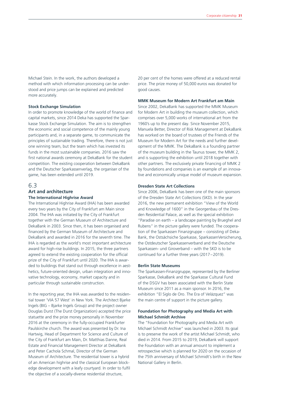Michael Stein. In the work, the authors developed a method with which information processing can be understood and price jumps can be explained and predicted more accurately.

#### **Stock Exchange Simulation**

In order to promote knowledge of the world of finance and capital markets, since 2014 Deka has supported the Sparkasse Stock Exchange Simulation. The aim is to strengthen the economic and social competence of the mainly young participants and, in a separate game, to communicate the principles of sustainable trading. Therefore, there is not just one winning team, but the team which has invested its funds in the most sustainable companies. 2016 saw the first national awards ceremony at DekaBank for the student competition. The existing cooperation between DekaBank and the Deutscher Sparkassenverlag, the organiser of the game, has been extended until 2019.

## 6.3

# **Art and architecture**

## **The International Highrise Award**

The International Highrise Award (IHA) has been awarded every two years by the City of Frankfurt am Main since 2004. The IHA was initiated by the City of Frankfurt together with the German Museum of Architecture and DekaBank in 2003. Since then, it has been organised and financed by the German Museum of Architecture and DekaBank and awarded in 2016 for the seventh time. The IHA is regarded as the world's most important architecture award for high-rise buildings. In 2015, the three partners agreed to extend the existing cooperation for the official prize of the City of Frankfurt until 2020. The IHA is awarded to buildings that stand out through excellence in aesthetics, future-oriented design, urban integration and innovative technology, economy, market capacity and in particular through sustainable construction.

In the reporting year, the IHA was awarded to the residential tower 'VIA 57 West' in New York. The Architect Bjarke Ingels (BIG – Bjarke Ingels Group) and the project owner Douglas Durst (The Durst Organization) accepted the price statuette and the prize money personally in November 2016 at the ceremony in the fully-occupied Frankfurter Paulskirche church. The award was presented by Dr. Ina Hartwig, Head of Department for Science and Culture of the City of Frankfurt am Main, Dr. Matthias Danne, Real Estate and Financial Management Director at DekaBank and Peter Cachola Schmal, Director of the German Museum of Architecture. The residential tower is a hybrid of an American highrise and the classical European blockedge development with a leafy courtyard. In order to fulfil the objective of a socially-diverse residential structure,

20 per cent of the homes were offered at a reduced rental price. The prize money of 50,000 euros was donated for good causes.

## **MMK Museum for Modern Art Frankfurt am Main**

Since 2002, DekaBank has supported the MMK Museum for Modern Art in building the museum collection, which comprises over 5,000 works of international art from the 1960's up to the present day. Since November 2015, Manuela Better, Director of Risk Management at DekaBank has worked on the board of trustees of the Friends of the Museum for Modern Art for the needs and further development of the MMK. The DekaBank is a founding partner of the museum building in the Taunus tower, the MMK 2, and is supporting the exhibition until 2018 together with other partners. The exclusively private financing of MMK 2 by foundations and companies is an example of an innovative and economically unique model of museum expansion.

#### **Dresden State Art Collections**

Since 2006, DekaBank has been one of the main sponsors of the Dresden State Art Collections (SKD). In the year 2016, the new permanent exhibition "View of the World and Knowledge of 1600" in the Georgenbau of the Dresden Residential Palace, as well as the special exhibition "Paradise on earth – a landscape painting by Brueghel and Rubens" in the picture gallery were funded. The cooperation of the Sparkassen Finanzgruppe – consisting of Deka-Bank, the Ostsächsiche Sparkasse, SparkassenVersicherung, the Ostdeutscher Sparkassenverband and the Deutsche Sparkassen- und Giroverband – with the SKD is to be continued for a further three years (2017–2019).

#### **Berlin State Museums**

The Sparkassen-Finanzgruppe, represented by the Berliner Sparkasse, DekaBank and the Sparkasse Cultural Fund of the DSGV has been associated with the Berlin State Museum since 2011 as a main sponsor. In 2016, the exhibition "El Siglo de Oro. The Era of Velázquez" was the main centre of support in the picture gallery.

## **Foundation for Photography and Media Art with Michael Schmidt Archive**

The "Foundation for Photography and Media Art with Michael Schmidt Archive" was launched in 2003. Its goal is to preserve the work of the artist Michael Schmidt, who died in 2014. From 2015 to 2019, DekaBank will support the Foundation with an annual amount to implement a retrospective which is planned for 2020 on the occasion of the 75th anniversary of Michael Schmidt's birth in the New National Gallery in Berlin.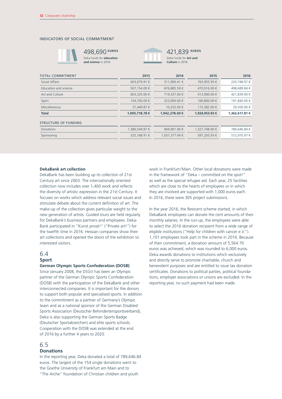## INDICATORS OF SOCIAL COMMITMENT



498,690 **EUROS** Deka funds for **education and science** in 2016



421,839 **EUROS** Deka funds for **Art and Culture** in 2016

| 220.748.97€    |
|----------------|
| 498.689.84 €   |
| 421,839.00 €   |
| 191.840.00 €   |
| 29,500.00 €    |
| 1,362,617.81 € |
|                |
| 789,646.84 €   |
| 572.970.97 €   |
|                |

#### **DekaBank art collection**

DekaBank has been building up its collection of 21st Century art since 2003. The internationally oriented collection now includes over 1,400 work and reflects the diversity of artistic expression in the 21st Century. It focuses on works which address relevant social issues and stimulate debate about the current definition of art. The make-up of the collection gives particular weight to the new generation of artists. Guided tours are held regularly for DekaBank's business partners and employees. Deka-Bank participated in "Kunst privat!" ("Private art!") for the twelfth time in 2016. Hessian companies show their art collections and opened the doors of the exhibition to interested visitors.

# 6.4

## **Sport**

#### **German Olympic Sports Confederation (DOSB)**

Since January 2008, the DSGV has been an Olympic partner of the German Olympic Sports Confederation (DOSB) with the participation of the DekaBank and other interconnected companies. It is important for the donors to support both popular and specialised sports. In addition to the commitment as a partner of Germany's Olympic team and as a national sponsor of the German Disabled Sports Association (Deutscher Behindertensportsverband), Deka is also supporting the German Sports Badge (Deutscher Sportabzeichen) and elite sports schools. Cooperation with the DOSB was extended at the end of 2016 by a further 4 years to 2020.

## 6.5

## **Donations**

In the reporting year, Deka donated a total of 789,646.84 euros. The largest of the 154 single donations went to the Goethe University of Frankfurt am Main and to "The Arche" foundation of Christian children and youth

work in Frankfurt/Main. Other local donations were made in the framework of "Deka – committed on the spot!" as well as the special refugee aid. Each year, 25 facilities which are close to the hearts of employees or in which they are involved are supported with 1,000 euros each. In 2016, there were 305 project submissions.

In the year 2016, the Restcent scheme started, in which DekaBank employees can donate the cent amounts of their monthly salaries. In the run-up, the employees were able to select the 2016 donation recipient from a wide range of eligible institutions ("Help for children with cancer  $eV$ "). 1,101 employees took part in the scheme in 2016. Because of their commitment, a donation amount of 5,564.70 euros was achieved, which was rounded to 6,000 euros. Deka awards donations to institutions which exclusively and directly serve to promote charitable, church and benevolent purposes and are entitled to issue tax donation certificates. Donations to political parties, political foundations, employer associations or unions are excluded. In the reporting year, no such payment had been made.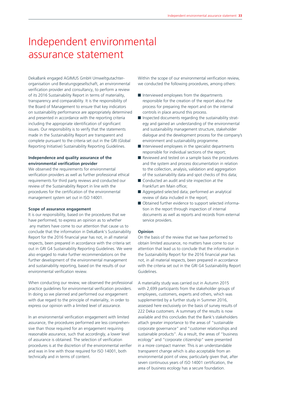# Independent environmental assurance statement

DekaBank engaged AGIMUS GmbH Umweltgutachterorganisation und Beratungsgesellschaft, an environmental verification provider and consultancy, to perform a review of its 2016 Sustainability Report in terms of materiality, transparency and comparability. It is the responsibility of the Board of Management to ensure that key indicators on sustainability performance are appropriately determined and presented in accordance with the reporting criteria including the appropriate identification of significant issues. Our responsibility is to verify that the statements made in the Sustainability Report are transparent and complete pursuant to the criteria set out in the GRI (Global Reporting Initiative) Sustainability Reporting Guidelines.

## **Independence and quality assurance of the environmental verification provider**

We observed the requirements for environmental verification providers as well as further professional ethical requirements for third party reviews and conducted our review of the Sustainability Report in line with the procedures for the certification of the environmental management system set out in ISO 14001.

### **Scope of assurance engagement**

It is our responsibility, based on the procedures that we have performed, to express an opinion as to whether any matters have come to our attention that cause us to conclude that the information in DekaBank's Sustainability Report for the 2016 financial year has not, in all material respects, been prepared in accordance with the criteria set out in GRI G4 Sustainability Reporting Guidelines. We were also engaged to make further recommendations on the further development of the environmental management and sustainability reporting, based on the results of our environmental verification review.

When conducting our review, we observed the professional practice guidelines for environmental verification providers. In doing so we planned and performed our engagement with due regard to the principle of materiality, in order to express our opinion with a limited level of assurance.

In an environmental verification engagement with limited assurance, the procedures performed are less comprehensive than those required for an engagement requiring reasonable assurance, such that accordingly, a lower level of assurance is obtained. The selection of verification procedures is at the discretion of the environmental verifier and was in line with those required for ISO 14001, both technically and in terms of content.

Within the scope of our environmental verification review, we conducted the following procedures, among others:

- Interviewed employees from the departments responsible for the creation of the report about the process for preparing the report and on the internal controls in place around this process.
- $\blacksquare$  Inspected documents regarding the sustainability strategy and gained an understanding of the environmental and sustainability management structure, stakeholder dialogue and the development process for the company's environment and sustainability programme.
- $\blacksquare$  Interviewed employees in the specialist departments responsible for individual sections of the report;
- Reviewed and tested on a sample basis the procedures and the system and process documentation in relation to the collection, analysis, validation and aggregation of the sustainability data and spot checks of this data;
- Conducted an audit and site inspection at the Frankfurt am Main office;
- Aggregated selected data; performed an analytical review of data included in the report;
- Obtained further evidence to support selected information in the report through inspection of internal documents as well as reports and records from external service providers.

#### **Opinion**

On the basis of the review that we have performed to obtain limited assurance, no matters have come to our attention that lead us to conclude that the information in the Sustainability Report for the 2016 financial year has not, in all material respects, been prepared in accordance with the criteria set out in the GRI G4 Sustainability Report Guidelines.

A materiality study was carried out in Autumn 2015 with 2,699 participants from the stakeholder groups of employees, customers, experts and others, which was supplemented by a further study in Summer 2016, assessed here exclusively on the basis of survey results of 222 Deka customers. A summary of the results is now available and this concludes that the Bank's stakeholders attach greater importance to the areas of "sustainable corporate governance" and "customer relationships and sustainable products". As a result, the areas of "business ecology" and "corporate citizenship" were presented in a more compact manner. This is an understandable transparent change which is also acceptable from an environmental point of view, particularly given that, after seven continuous years of ISO 14001 certification, the area of business ecology has a secure foundation.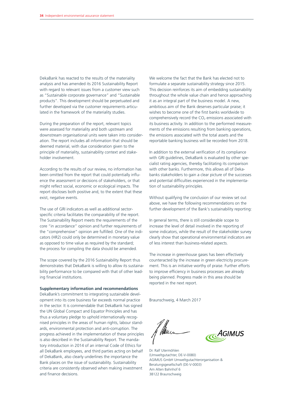DekaBank has reacted to the results of the materiality analysis and has amended its 2016 Sustainability Report with regard to relevant issues from a customer view such as "Sustainable corporate governance" and "Sustainable products". This development should be perpetuated and further developed via the customer requirements articulated in the framework of the materiality studies.

During the preparation of the report, relevant topics were assessed for materiality and both upstream and downstream organisational units were taken into consideration. The report includes all information that should be deemed material, with due consideration given to the principle of materiality, sustainability context and stakeholder involvement.

According to the results of our review, no information has been omitted from the report that could potentially influence the assessment or decisions of stakeholders, or that might reflect social, economic or ecological impacts. The report discloses both positive and, to the extent that these exist, negative events.

The use of GRI indicators as well as additional sectorspecific criteria facilitates the comparability of the report. The Sustainability Report meets the requirements of the core "in accordance" opinion and further requirements of the "comprehensive" opinion are fulfilled. One of the indicators (HR2) could only be determined in monetary value as opposed to time value as required by the standard; the process for compiling the data should be amended.

The scope covered by the 2016 Sustainability Report thus demonstrates that DekaBank is willing to allow its sustainability performance to be compared with that of other leading financial institutions.

#### **Supplementary information and recommendations**

DekaBank's commitment to integrating sustainable development into its core business far exceeds normal practice in the sector. It is commendable that DekaBank has signed the UN Global Compact and Equator Principles and has thus a voluntary pledge to uphold internationally recognised principles in the areas of human rights, labour standards, environmental protection and anti-corruption. The progress achieved in the implementation of these principles is also described in the Sustainability Report. The mandatory introduction in 2014 of an internal Code of Ethics for all DekaBank employees, and third parties acting on behalf of DekaBank, also clearly underlines the importance the Bank places on the issue of sustainability. Sustainability criteria are consistently observed when making investment and finance decisions.

We welcome the fact that the Bank has elected not to formulate a separate sustainability strategy since 2015. This decision reinforces its aim of embedding sustainability throughout the whole value chain and hence approaching it as an integral part of the business model. A new, ambitious aim of the Bank deserves particular praise; it wishes to become one of the first banks worldwide to comprehensively record the  $CO<sub>2</sub>$  emissions associated with its business activity. In addition to the performed measurements of the emissions resulting from banking operations, the emissions associated with the total assets and the reportable banking business will be recorded from 2018.

In addition to the external verification of its compliance with GRI guidelines, DekaBank is evaluated by other specialist rating agencies, thereby facilitating its comparison with other banks. Furthermore, this allows all of Dekabanks stakeholders to gain a clear picture of the successes and potential difficulties experienced in the implementation of sustainability principles.

Without qualifying the conclusion of our review set out above, we have the following recommendations on the further development of the Bank's sustainability reporting:

In general terms, there is still considerable scope to increase the level of detail involved in the reporting of some indicators, while the result of the stakeholder survey clearly show that operational environmental indicators are of less interest than business-related aspects.

The increase in greenhouse gases has been effectively counteracted by the increase in green electricity procurement. This is an initiative worthy of praise. Further efforts to improve efficiency in business processes are already being planned. Progress made in this area should be reported in the next report.

Braunschweig, 4 March 2017



Dr. Ralf Utermöhlen (Umweltgutachter, DE-V-0080) AGIMUS GmbH Umweltgutachterorganisation & Beratungsgesellschaft (DE-V-0003) Am Alten Bahnhof 6 38122 Braunschweig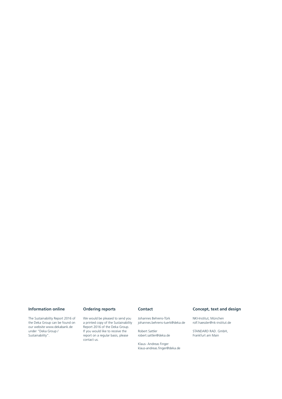## **Information online**

The Sustainability Report 2016 of the Deka Group can be found on our website www.dekabank.de under "Deka Group / Sustainability".

## **Ordering reports**

We would be pleased to send you a printed copy of the Sustainability Report 2016 of the Deka Group. If you would like to receive the report on a regular basis, please contact us.

## **Contact**

Johannes Behrens-Türk

johannes.behrens-tuerk@deka.de Robert Sattler robert.sattler@deka.de

Klaus- Andreas Finger klaus-andreas.finger@deka.de

## **Concept, text and design**

NKI-Institut, München rolf.haessler@nk-institut.de

STANDARD RAD. GmbH, Frankfurt am Main